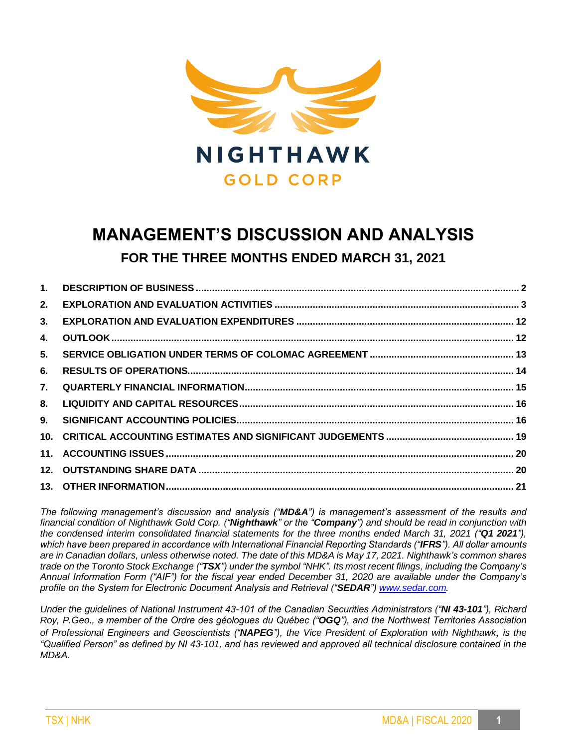

# **MANAGEMENT'S DISCUSSION AND ANALYSIS FOR THE THREE MONTHS ENDED MARCH 31, 2021**

| 1.  |  |
|-----|--|
| 2.  |  |
| 3.  |  |
| 4.  |  |
| 5.  |  |
| 6.  |  |
| 7.  |  |
| 8.  |  |
| 9.  |  |
|     |  |
| 11. |  |
|     |  |
|     |  |

*The following management's discussion and analysis ("MD&A") is management's assessment of the results and financial condition of Nighthawk Gold Corp. ("Nighthawk" or the "Company") and should be read in conjunction with the condensed interim consolidated financial statements for the three months ended March 31, 2021 ("Q1 2021"), which have been prepared in accordance with International Financial Reporting Standards ("IFRS"). All dollar amounts are in Canadian dollars, unless otherwise noted. The date of this MD&A is May 17, 2021. Nighthawk's common shares trade on the Toronto Stock Exchange ("TSX") under the symbol "NHK". Its most recent filings, including the Company's Annual Information Form ("AIF") for the fiscal year ended December 31, 2020 are available under the Company's profile on the System for Electronic Document Analysis and Retrieval ("SEDAR"[\) www.sedar.com.](http://www.sedar.com/)*

*Under the guidelines of National Instrument 43-101 of the Canadian Securities Administrators ("NI 43-101"), Richard Roy, P.Geo., a member of the Ordre des géologues du Québec ("OGQ"), and the Northwest Territories Association of Professional Engineers and Geoscientists ("NAPEG"), the Vice President of Exploration with Nighthawk*, *is the "Qualified Person" as defined by NI 43-101, and has reviewed and approved all technical disclosure contained in the MD&A.*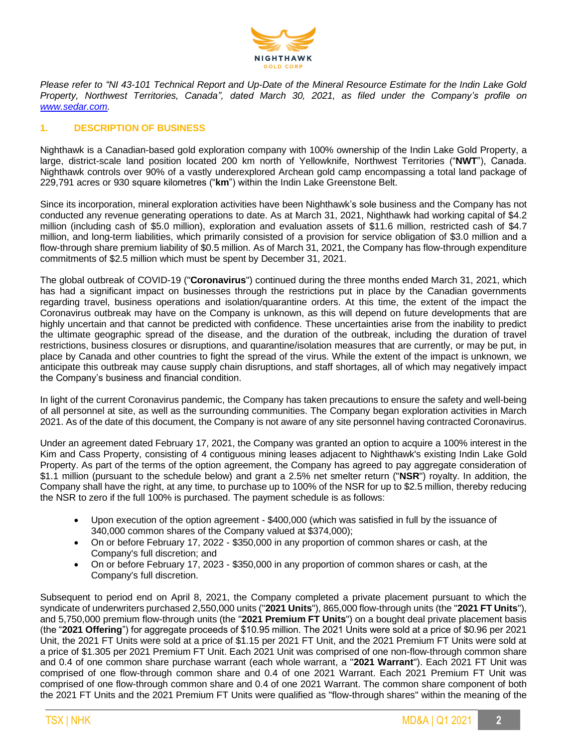

*Please refer to "NI 43-101 Technical Report and Up-Date of the Mineral Resource Estimate for the Indin Lake Gold Property, Northwest Territories, Canada", dated March 30, 2021, as filed under the Company's profile on [www.sedar.com.](http://www.sedar.com/)*

# **1. DESCRIPTION OF BUSINESS**

Nighthawk is a Canadian-based gold exploration company with 100% ownership of the Indin Lake Gold Property, a large, district-scale land position located 200 km north of Yellowknife, Northwest Territories ("**NWT**"), Canada. Nighthawk controls over 90% of a vastly underexplored Archean gold camp encompassing a total land package of 229,791 acres or 930 square kilometres ("**km**") within the Indin Lake Greenstone Belt.

Since its incorporation, mineral exploration activities have been Nighthawk's sole business and the Company has not conducted any revenue generating operations to date. As at March 31, 2021, Nighthawk had working capital of \$4.2 million (including cash of \$5.0 million), exploration and evaluation assets of \$11.6 million, restricted cash of \$4.7 million, and long-term liabilities, which primarily consisted of a provision for service obligation of \$3.0 million and a flow-through share premium liability of \$0.5 million. As of March 31, 2021, the Company has flow-through expenditure commitments of \$2.5 million which must be spent by December 31, 2021.

The global outbreak of COVID-19 ("**Coronavirus**") continued during the three months ended March 31, 2021, which has had a significant impact on businesses through the restrictions put in place by the Canadian governments regarding travel, business operations and isolation/quarantine orders. At this time, the extent of the impact the Coronavirus outbreak may have on the Company is unknown, as this will depend on future developments that are highly uncertain and that cannot be predicted with confidence. These uncertainties arise from the inability to predict the ultimate geographic spread of the disease, and the duration of the outbreak, including the duration of travel restrictions, business closures or disruptions, and quarantine/isolation measures that are currently, or may be put, in place by Canada and other countries to fight the spread of the virus. While the extent of the impact is unknown, we anticipate this outbreak may cause supply chain disruptions, and staff shortages, all of which may negatively impact the Company's business and financial condition.

In light of the current Coronavirus pandemic, the Company has taken precautions to ensure the safety and well-being of all personnel at site, as well as the surrounding communities. The Company began exploration activities in March 2021. As of the date of this document, the Company is not aware of any site personnel having contracted Coronavirus.

Under an agreement dated February 17, 2021, the Company was granted an option to acquire a 100% interest in the Kim and Cass Property, consisting of 4 contiguous mining leases adjacent to Nighthawk's existing Indin Lake Gold Property. As part of the terms of the option agreement, the Company has agreed to pay aggregate consideration of \$1.1 million (pursuant to the schedule below) and grant a 2.5% net smelter return ("**NSR**") royalty. In addition, the Company shall have the right, at any time, to purchase up to 100% of the NSR for up to \$2.5 million, thereby reducing the NSR to zero if the full 100% is purchased. The payment schedule is as follows:

- Upon execution of the option agreement \$400,000 (which was satisfied in full by the issuance of 340,000 common shares of the Company valued at \$374,000);
- On or before February 17, 2022 \$350,000 in any proportion of common shares or cash, at the Company's full discretion; and
- On or before February 17, 2023 \$350,000 in any proportion of common shares or cash, at the Company's full discretion.

Subsequent to period end on April 8, 2021, the Company completed a private placement pursuant to which the syndicate of underwriters purchased 2,550,000 units ("**2021 Units**"), 865,000 flow-through units (the "**2021 FT Units**"), and 5,750,000 premium flow-through units (the "**2021 Premium FT Units**") on a bought deal private placement basis (the "**2021 Offering**") for aggregate proceeds of \$10.95 million. The 2021 Units were sold at a price of \$0.96 per 2021 Unit, the 2021 FT Units were sold at a price of \$1.15 per 2021 FT Unit, and the 2021 Premium FT Units were sold at a price of \$1.305 per 2021 Premium FT Unit. Each 2021 Unit was comprised of one non-flow-through common share and 0.4 of one common share purchase warrant (each whole warrant, a "**2021 Warrant**"). Each 2021 FT Unit was comprised of one flow-through common share and 0.4 of one 2021 Warrant. Each 2021 Premium FT Unit was comprised of one flow-through common share and 0.4 of one 2021 Warrant. The common share component of both the 2021 FT Units and the 2021 Premium FT Units were qualified as "flow-through shares" within the meaning of the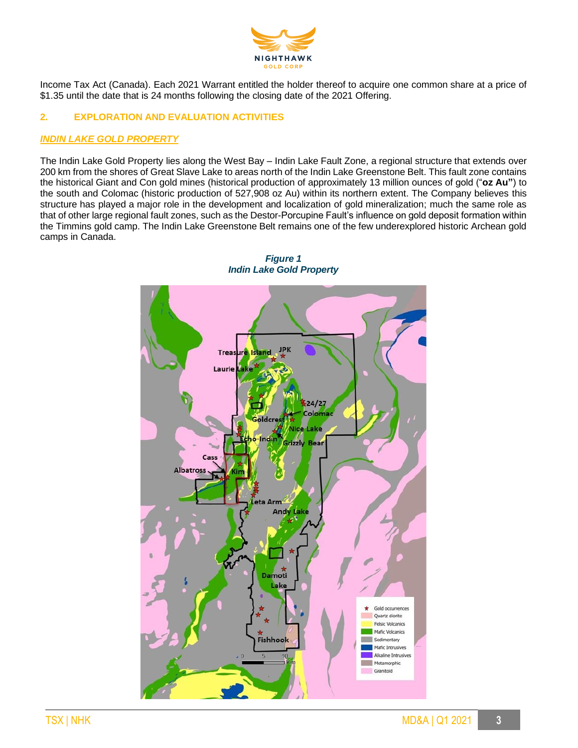

Income Tax Act (Canada). Each 2021 Warrant entitled the holder thereof to acquire one common share at a price of \$1.35 until the date that is 24 months following the closing date of the 2021 Offering.

# **2. EXPLORATION AND EVALUATION ACTIVITIES**

## *INDIN LAKE GOLD PROPERTY*

The Indin Lake Gold Property lies along the West Bay – Indin Lake Fault Zone, a regional structure that extends over 200 km from the shores of Great Slave Lake to areas north of the Indin Lake Greenstone Belt. This fault zone contains the historical Giant and Con gold mines (historical production of approximately 13 million ounces of gold ("**oz Au"**) to the south and Colomac (historic production of 527,908 oz Au) within its northern extent. The Company believes this structure has played a major role in the development and localization of gold mineralization; much the same role as that of other large regional fault zones, such as the Destor-Porcupine Fault's influence on gold deposit formation within the Timmins gold camp. The Indin Lake Greenstone Belt remains one of the few underexplored historic Archean gold camps in Canada.



*Figure 1 Indin Lake Gold Property*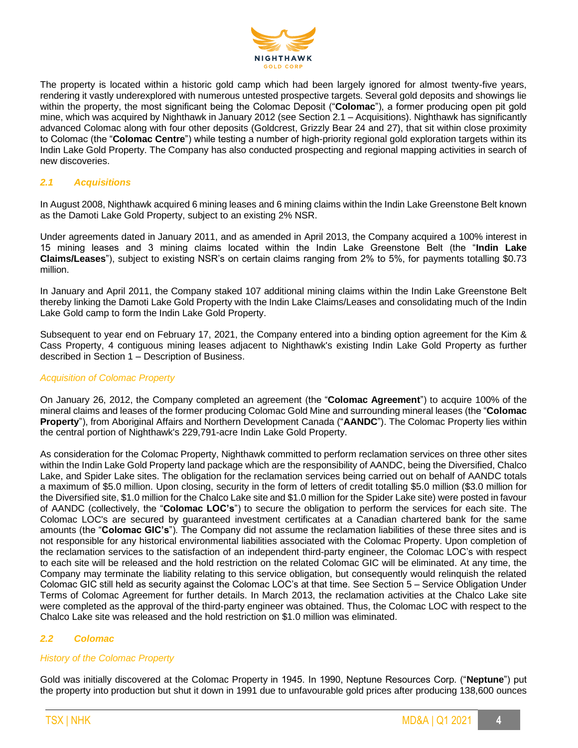

The property is located within a historic gold camp which had been largely ignored for almost twenty-five years, rendering it vastly underexplored with numerous untested prospective targets. Several gold deposits and showings lie within the property, the most significant being the Colomac Deposit ("**Colomac**"), a former producing open pit gold mine, which was acquired by Nighthawk in January 2012 (see Section 2.1 – Acquisitions). Nighthawk has significantly advanced Colomac along with four other deposits (Goldcrest, Grizzly Bear 24 and 27), that sit within close proximity to Colomac (the "**Colomac Centre**") while testing a number of high-priority regional gold exploration targets within its Indin Lake Gold Property. The Company has also conducted prospecting and regional mapping activities in search of new discoveries.

# *2.1 Acquisitions*

In August 2008, Nighthawk acquired 6 mining leases and 6 mining claims within the Indin Lake Greenstone Belt known as the Damoti Lake Gold Property, subject to an existing 2% NSR.

Under agreements dated in January 2011, and as amended in April 2013, the Company acquired a 100% interest in 15 mining leases and 3 mining claims located within the Indin Lake Greenstone Belt (the "**Indin Lake Claims/Leases**"), subject to existing NSR's on certain claims ranging from 2% to 5%, for payments totalling \$0.73 million.

In January and April 2011, the Company staked 107 additional mining claims within the Indin Lake Greenstone Belt thereby linking the Damoti Lake Gold Property with the Indin Lake Claims/Leases and consolidating much of the Indin Lake Gold camp to form the Indin Lake Gold Property.

Subsequent to year end on February 17, 2021, the Company entered into a binding option agreement for the Kim & Cass Property, 4 contiguous mining leases adjacent to Nighthawk's existing Indin Lake Gold Property as further described in Section 1 – Description of Business.

#### *Acquisition of Colomac Property*

On January 26, 2012, the Company completed an agreement (the "**Colomac Agreement**") to acquire 100% of the mineral claims and leases of the former producing Colomac Gold Mine and surrounding mineral leases (the "**Colomac Property**"), from Aboriginal Affairs and Northern Development Canada ("**AANDC**"). The Colomac Property lies within the central portion of Nighthawk's 229,791-acre Indin Lake Gold Property.

As consideration for the Colomac Property, Nighthawk committed to perform reclamation services on three other sites within the Indin Lake Gold Property land package which are the responsibility of AANDC, being the Diversified, Chalco Lake, and Spider Lake sites. The obligation for the reclamation services being carried out on behalf of AANDC totals a maximum of \$5.0 million. Upon closing, security in the form of letters of credit totalling \$5.0 million (\$3.0 million for the Diversified site, \$1.0 million for the Chalco Lake site and \$1.0 million for the Spider Lake site) were posted in favour of AANDC (collectively, the "**Colomac LOC's**") to secure the obligation to perform the services for each site. The Colomac LOC's are secured by guaranteed investment certificates at a Canadian chartered bank for the same amounts (the "**Colomac GIC's**"). The Company did not assume the reclamation liabilities of these three sites and is not responsible for any historical environmental liabilities associated with the Colomac Property. Upon completion of the reclamation services to the satisfaction of an independent third-party engineer, the Colomac LOC's with respect to each site will be released and the hold restriction on the related Colomac GIC will be eliminated. At any time, the Company may terminate the liability relating to this service obligation, but consequently would relinquish the related Colomac GIC still held as security against the Colomac LOC's at that time. See Section 5 – Service Obligation Under Terms of Colomac Agreement for further details. In March 2013, the reclamation activities at the Chalco Lake site were completed as the approval of the third-party engineer was obtained. Thus, the Colomac LOC with respect to the Chalco Lake site was released and the hold restriction on \$1.0 million was eliminated.

# *2.2 Colomac*

# *History of the Colomac Property*

Gold was initially discovered at the Colomac Property in 1945. In 1990, Neptune Resources Corp. ("**Neptune**") put the property into production but shut it down in 1991 due to unfavourable gold prices after producing 138,600 ounces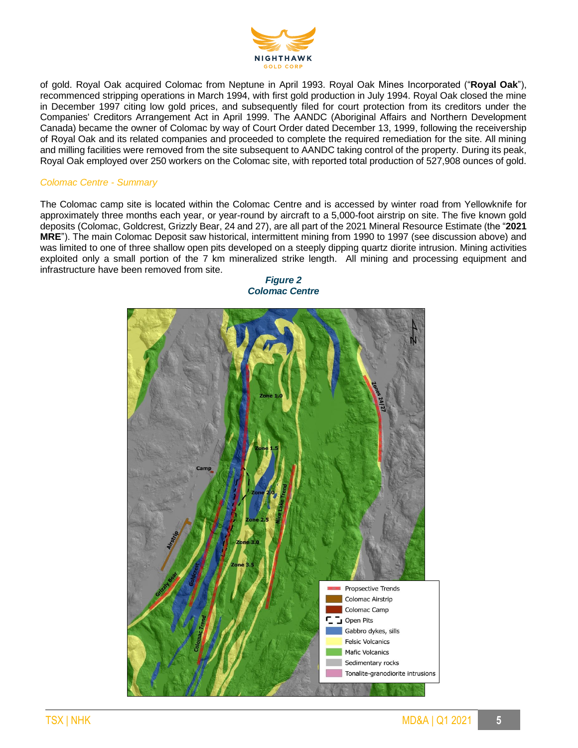

of gold. Royal Oak acquired Colomac from Neptune in April 1993. Royal Oak Mines Incorporated ("**Royal Oak**"), recommenced stripping operations in March 1994, with first gold production in July 1994. Royal Oak closed the mine in December 1997 citing low gold prices, and subsequently filed for court protection from its creditors under the Companies' Creditors Arrangement Act in April 1999. The AANDC (Aboriginal Affairs and Northern Development Canada) became the owner of Colomac by way of Court Order dated December 13, 1999, following the receivership of Royal Oak and its related companies and proceeded to complete the required remediation for the site. All mining and milling facilities were removed from the site subsequent to AANDC taking control of the property. During its peak, Royal Oak employed over 250 workers on the Colomac site, with reported total production of 527,908 ounces of gold.

# *Colomac Centre - Summary*

The Colomac camp site is located within the Colomac Centre and is accessed by winter road from Yellowknife for approximately three months each year, or year-round by aircraft to a 5,000-foot airstrip on site. The five known gold deposits (Colomac, Goldcrest, Grizzly Bear, 24 and 27), are all part of the 2021 Mineral Resource Estimate (the "**2021 MRE**"). The main Colomac Deposit saw historical, intermittent mining from 1990 to 1997 (see discussion above) and was limited to one of three shallow open pits developed on a steeply dipping quartz diorite intrusion. Mining activities exploited only a small portion of the 7 km mineralized strike length. All mining and processing equipment and infrastructure have been removed from site.



*Figure 2 Colomac Centre*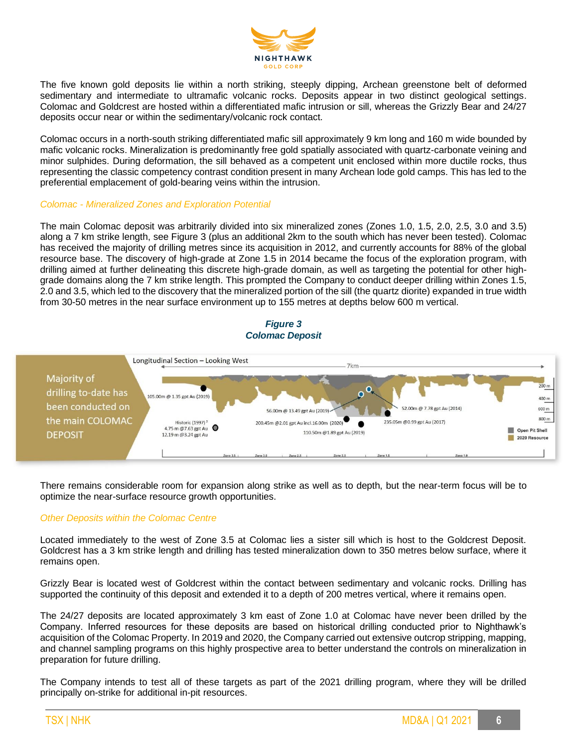

The five known gold deposits lie within a north striking, steeply dipping, Archean greenstone belt of deformed sedimentary and intermediate to ultramafic volcanic rocks. Deposits appear in two distinct geological settings. Colomac and Goldcrest are hosted within a differentiated mafic intrusion or sill, whereas the Grizzly Bear and 24/27 deposits occur near or within the sedimentary/volcanic rock contact.

Colomac occurs in a north-south striking differentiated mafic sill approximately 9 km long and 160 m wide bounded by mafic volcanic rocks. Mineralization is predominantly free gold spatially associated with quartz-carbonate veining and minor sulphides. During deformation, the sill behaved as a competent unit enclosed within more ductile rocks, thus representing the classic competency contrast condition present in many Archean lode gold camps. This has led to the preferential emplacement of gold-bearing veins within the intrusion.

#### *Colomac - Mineralized Zones and Exploration Potential*

The main Colomac deposit was arbitrarily divided into six mineralized zones (Zones 1.0, 1.5, 2.0, 2.5, 3.0 and 3.5) along a 7 km strike length, see Figure 3 (plus an additional 2km to the south which has never been tested). Colomac has received the majority of drilling metres since its acquisition in 2012, and currently accounts for 88% of the global resource base. The discovery of high-grade at Zone 1.5 in 2014 became the focus of the exploration program, with drilling aimed at further delineating this discrete high-grade domain, as well as targeting the potential for other highgrade domains along the 7 km strike length. This prompted the Company to conduct deeper drilling within Zones 1.5, 2.0 and 3.5, which led to the discovery that the mineralized portion of the sill (the quartz diorite) expanded in true width from 30-50 metres in the near surface environment up to 155 metres at depths below 600 m vertical.

#### *Figure 3 Colomac Deposit*



There remains considerable room for expansion along strike as well as to depth, but the near-term focus will be to optimize the near-surface resource growth opportunities.

#### *Other Deposits within the Colomac Centre*

Located immediately to the west of Zone 3.5 at Colomac lies a sister sill which is host to the Goldcrest Deposit. Goldcrest has a 3 km strike length and drilling has tested mineralization down to 350 metres below surface, where it remains open.

Grizzly Bear is located west of Goldcrest within the contact between sedimentary and volcanic rocks. Drilling has supported the continuity of this deposit and extended it to a depth of 200 metres vertical, where it remains open.

The 24/27 deposits are located approximately 3 km east of Zone 1.0 at Colomac have never been drilled by the Company. Inferred resources for these deposits are based on historical drilling conducted prior to Nighthawk's acquisition of the Colomac Property. In 2019 and 2020, the Company carried out extensive outcrop stripping, mapping, and channel sampling programs on this highly prospective area to better understand the controls on mineralization in preparation for future drilling.

The Company intends to test all of these targets as part of the 2021 drilling program, where they will be drilled principally on-strike for additional in-pit resources.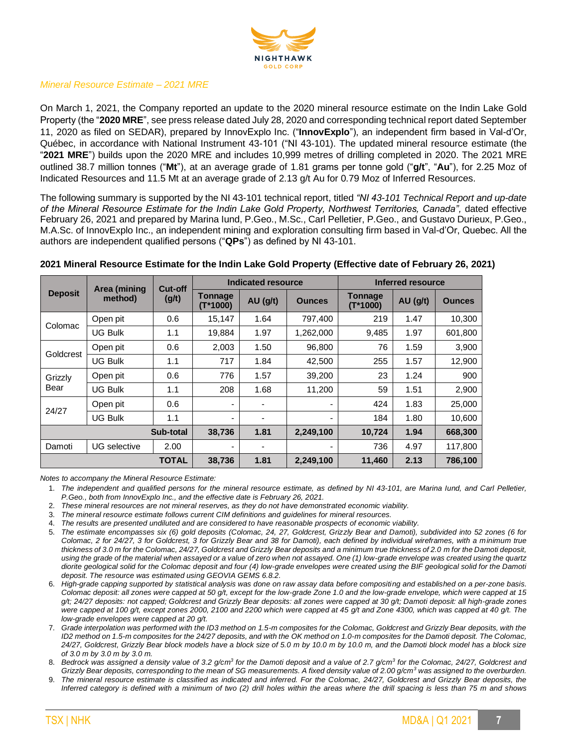

# *Mineral Resource Estimate – 2021 MRE*

On March 1, 2021, the Company reported an update to the 2020 mineral resource estimate on the Indin Lake Gold Property (the "**2020 MRE**", see press release dated July 28, 2020 and corresponding technical report dated September 11, 2020 as filed on SEDAR), prepared by InnovExplo Inc. ("**InnovExplo**"), an independent firm based in Val-d'Or, Québec, in accordance with National Instrument 43-101 ("NI 43-101). The updated mineral resource estimate (the "**2021 MRE**") builds upon the 2020 MRE and includes 10,999 metres of drilling completed in 2020. The 2021 MRE outlined 38.7 million tonnes ("**Mt**"), at an average grade of 1.81 grams per tonne gold ("**g/t**", "**Au**"), for 2.25 Moz of Indicated Resources and 11.5 Mt at an average grade of 2.13 g/t Au for 0.79 Moz of Inferred Resources.

The following summary is supported by the NI 43-101 technical report, titled *"NI 43-101 Technical Report and up-date of the Mineral Resource Estimate for the Indin Lake Gold Property, Northwest Territories, Canada",* dated effective February 26, 2021 and prepared by Marina Iund, P.Geo., M.Sc., Carl Pelletier, P.Geo., and Gustavo Durieux, P.Geo., M.A.Sc. of InnovExplo Inc., an independent mining and exploration consulting firm based in Val-d'Or, Quebec. All the authors are independent qualified persons ("**QPs**") as defined by NI 43-101.

|                | Area (mining   | Cut-off   |                              | Indicated resource |               |                              | Inferred resource |               |
|----------------|----------------|-----------|------------------------------|--------------------|---------------|------------------------------|-------------------|---------------|
| <b>Deposit</b> | method)        | (g/t)     | <b>Tonnage</b><br>$(T*1000)$ | $AU$ (g/t)         | <b>Ounces</b> | <b>Tonnage</b><br>$(T*1000)$ | AU(gh)            | <b>Ounces</b> |
| Colomac        | Open pit       | 0.6       | 15,147                       | 1.64               | 797,400       | 219                          | 1.47              | 10,300        |
|                | <b>UG Bulk</b> | 1.1       | 19,884                       | 1.97               | 1,262,000     | 9,485                        | 1.97              | 601,800       |
| Goldcrest      | Open pit       | 0.6       | 2,003                        | 1.50               | 96,800        | 76                           | 1.59              | 3,900         |
|                | <b>UG Bulk</b> | 1.1       | 717                          | 1.84               | 42,500        | 255                          | 1.57              | 12,900        |
| Grizzly        | Open pit       | 0.6       | 776                          | 1.57               | 39,200        | 23                           | 1.24              | 900           |
| Bear           | <b>UG Bulk</b> | 1.1       | 208                          | 1.68               | 11,200        | 59                           | 1.51              | 2,900         |
| 24/27          | Open pit       | 0.6       | ٠                            |                    |               | 424                          | 1.83              | 25,000        |
|                | <b>UG Bulk</b> | 1.1       | $\overline{\phantom{a}}$     | ۰                  |               | 184                          | 1.80              | 10,600        |
|                |                | Sub-total | 38,736                       | 1.81               | 2,249,100     | 10,724                       | 1.94              | 668,300       |
| Damoti         | UG selective   | 2.00      |                              |                    | ۰             | 736                          | 4.97              | 117,800       |
| TOTAL          |                |           | 38,736                       | 1.81               | 2,249,100     | 11,460                       | 2.13              | 786,100       |

## **2021 Mineral Resource Estimate for the Indin Lake Gold Property (Effective date of February 26, 2021)**

*Notes to accompany the Mineral Resource Estimate:*

1. *The independent and qualified persons for the mineral resource estimate, as defined by NI 43-101, are Marina Iund, and Carl Pelletier, P.Geo., both from InnovExplo Inc., and the effective date is February 26, 2021.*

2. *These mineral resources are not mineral reserves, as they do not have demonstrated economic viability.*

3. *The mineral resource estimate follows current CIM definitions and guidelines for mineral resources.*

4. *The results are presented undiluted and are considered to have reasonable prospects of economic viability.*



<sup>5.</sup> *The estimate encompasses six (6) gold deposits (Colomac, 24, 27, Goldcrest, Grizzly Bear and Damoti), subdivided into 52 zones (6 for Colomac, 2 for 24/27, 3 for Goldcrest, 3 for Grizzly Bear and 38 for Damoti), each defined by individual wireframes, with a minimum true thickness of 3.0 m for the Colomac, 24/27, Goldcrest and Grizzly Bear deposits and a minimum true thickness of 2.0 m for the Damoti deposit, using the grade of the material when assayed or a value of zero when not assayed. One (1) low-grade envelope was created using the quartz diorite geological solid for the Colomac deposit and four (4) low-grade envelopes were created using the BIF geological solid for the Damoti deposit. The resource was estimated using GEOVIA GEMS 6.8.2.*

<sup>6.</sup> *High-grade capping supported by statistical analysis was done on raw assay data before compositing and established on a per-zone basis. Colomac deposit: all zones were capped at 50 g/t, except for the low-grade Zone 1.0 and the low-grade envelope, which were capped at 15 g/t; 24/27 deposits: not capped; Goldcrest and Grizzly Bear deposits: all zones were capped at 30 g/t; Damoti deposit: all high-grade zones were capped at 100 g/t, except zones 2000, 2100 and 2200 which were capped at 45 g/t and Zone 4300, which was capped at 40 g/t. The low-grade envelopes were capped at 20 g/t.*

<sup>7.</sup> *Grade interpolation was performed with the ID3 method on 1.5-m composites for the Colomac, Goldcrest and Grizzly Bear deposits, with the ID2* method on 1.5-m composites for the 24/27 deposits, and with the OK method on 1.0-m composites for the Damoti deposit. The Colomac, *24/27, Goldcrest, Grizzly Bear block models have a block size of 5.0 m by 10.0 m by 10.0 m, and the Damoti block model has a block size of 3.0 m by 3.0 m by 3.0 m.*

<sup>8.</sup> *Bedrock was assigned a density value of 3.2 g/cm<sup>3</sup> for the Damoti deposit and a value of 2.7 g/cm<sup>3</sup> for the Colomac, 24/27, Goldcrest and Grizzly Bear deposits, corresponding to the mean of SG measurements. A fixed density value of 2.00 g/cm<sup>3</sup> was assigned to the overburden.*

<sup>9.</sup> *The mineral resource estimate is classified as indicated and inferred. For the Colomac, 24/27, Goldcrest and Grizzly Bear deposits, the Inferred category is defined with a minimum of two (2) drill holes within the areas where the drill spacing is less than 75 m and shows*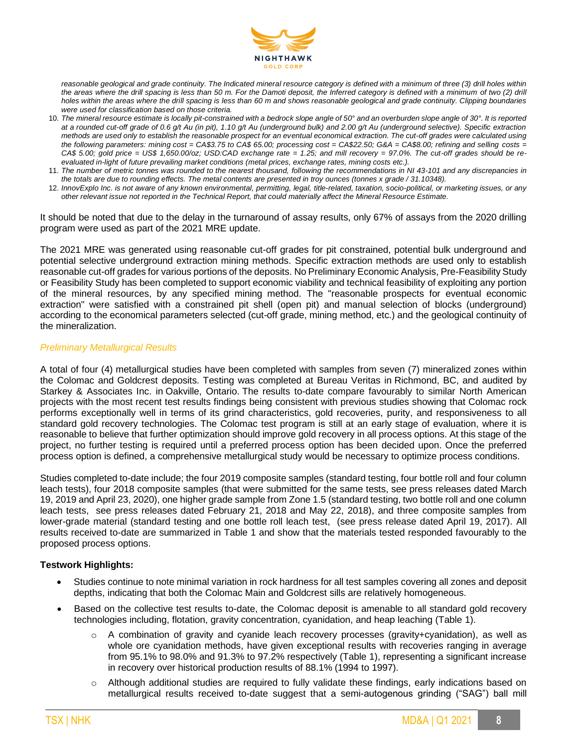

*reasonable geological and grade continuity. The Indicated mineral resource category is defined with a minimum of three (3) drill holes within*  the areas where the drill spacing is less than 50 m. For the Damoti deposit, the Inferred category is defined with a minimum of two (2) drill *holes within the areas where the drill spacing is less than 60 m and shows reasonable geological and grade continuity. Clipping boundaries were used for classification based on those criteria.*

- 10. *The mineral resource estimate is locally pit-constrained with a bedrock slope angle of 50° and an overburden slope angle of 30°. It is reported at a rounded cut-off grade of 0.6 g/t Au (in pit), 1.10 g/t Au (underground bulk) and 2.00 g/t Au (underground selective). Specific extraction methods are used only to establish the reasonable prospect for an eventual economical extraction. The cut-off grades were calculated using the following parameters: mining cost = CA\$3.75 to CA\$ 65.00; processing cost = CA\$22.50; G&A = CA\$8.00; refining and selling costs = CA\$ 5.00; gold price = US\$ 1,650.00/oz; USD:CAD exchange rate = 1.25; and mill recovery = 97.0%. The cut-off grades should be reevaluated in-light of future prevailing market conditions (metal prices, exchange rates, mining costs etc.).*
- 11. *The number of metric tonnes was rounded to the nearest thousand, following the recommendations in NI 43-101 and any discrepancies in the totals are due to rounding effects. The metal contents are presented in troy ounces (tonnes x grade / 31.10348).*
- 12. *InnovExplo Inc. is not aware of any known environmental, permitting, legal, title-related, taxation, socio-political, or marketing issues, or any other relevant issue not reported in the Technical Report, that could materially affect the Mineral Resource Estimate.*

It should be noted that due to the delay in the turnaround of assay results, only 67% of assays from the 2020 drilling program were used as part of the 2021 MRE update.

The 2021 MRE was generated using reasonable cut-off grades for pit constrained, potential bulk underground and potential selective underground extraction mining methods. Specific extraction methods are used only to establish reasonable cut-off grades for various portions of the deposits. No Preliminary Economic Analysis, Pre-Feasibility Study or Feasibility Study has been completed to support economic viability and technical feasibility of exploiting any portion of the mineral resources, by any specified mining method. The "reasonable prospects for eventual economic extraction" were satisfied with a constrained pit shell (open pit) and manual selection of blocks (underground) according to the economical parameters selected (cut-off grade, mining method, etc.) and the geological continuity of the mineralization.

#### *Preliminary Metallurgical Results*

A total of four (4) metallurgical studies have been completed with samples from seven (7) mineralized zones within the Colomac and Goldcrest deposits. Testing was completed at Bureau Veritas in Richmond, BC, and audited by Starkey & Associates Inc. in Oakville, Ontario. The results to-date compare favourably to similar North American projects with the most recent test results findings being consistent with previous studies showing that Colomac rock performs exceptionally well in terms of its grind characteristics, gold recoveries, purity, and responsiveness to all standard gold recovery technologies. The Colomac test program is still at an early stage of evaluation, where it is reasonable to believe that further optimization should improve gold recovery in all process options. At this stage of the project, no further testing is required until a preferred process option has been decided upon. Once the preferred process option is defined, a comprehensive metallurgical study would be necessary to optimize process conditions.

Studies completed to-date include; the four 2019 composite samples (standard testing, four bottle roll and four column leach tests), four 2018 composite samples (that were submitted for the same tests, see press releases dated March 19, 2019 and April 23, 2020), one higher grade sample from Zone 1.5 (standard testing, two bottle roll and one column leach tests, see press releases dated February 21, 2018 and May 22, 2018), and three composite samples from lower-grade material (standard testing and one bottle roll leach test, (see press release dated April 19, 2017). All results received to-date are summarized in Table 1 and show that the materials tested responded favourably to the proposed process options.

#### **Testwork Highlights:**

- Studies continue to note minimal variation in rock hardness for all test samples covering all zones and deposit depths, indicating that both the Colomac Main and Goldcrest sills are relatively homogeneous.
- Based on the collective test results to-date, the Colomac deposit is amenable to all standard gold recovery technologies including, flotation, gravity concentration, cyanidation, and heap leaching (Table 1).
	- A combination of gravity and cyanide leach recovery processes (gravity+cyanidation), as well as whole ore cyanidation methods, have given exceptional results with recoveries ranging in average from 95.1% to 98.0% and 91.3% to 97.2% respectively (Table 1), representing a significant increase in recovery over historical production results of 88.1% (1994 to 1997).
	- o Although additional studies are required to fully validate these findings, early indications based on metallurgical results received to-date suggest that a semi-autogenous grinding ("SAG") ball mill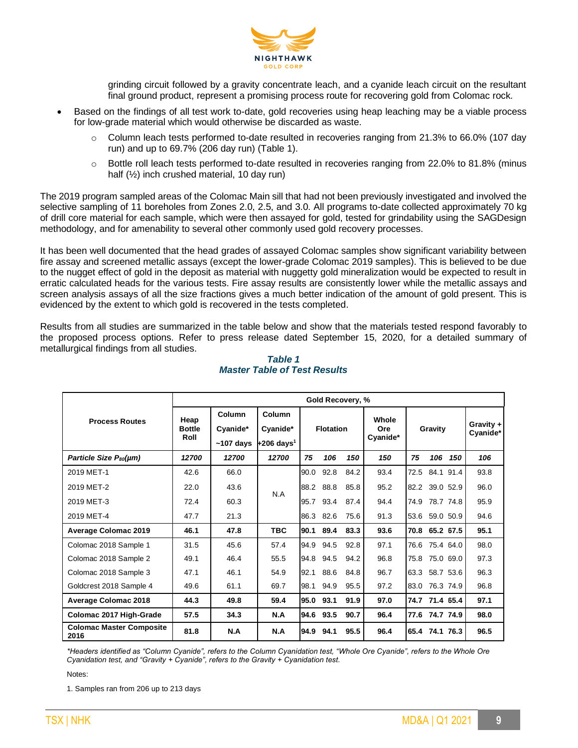

grinding circuit followed by a gravity concentrate leach, and a cyanide leach circuit on the resultant final ground product, represent a promising process route for recovering gold from Colomac rock.

- Based on the findings of all test work to-date, gold recoveries using heap leaching may be a viable process for low-grade material which would otherwise be discarded as waste.
	- Column leach tests performed to-date resulted in recoveries ranging from 21.3% to 66.0% (107 day run) and up to 69.7% (206 day run) (Table 1).
	- $\circ$  Bottle roll leach tests performed to-date resulted in recoveries ranging from 22.0% to 81.8% (minus half (½) inch crushed material, 10 day run)

The 2019 program sampled areas of the Colomac Main sill that had not been previously investigated and involved the selective sampling of 11 boreholes from Zones 2.0, 2.5, and 3.0. All programs to-date collected approximately 70 kg of drill core material for each sample, which were then assayed for gold, tested for grindability using the SAGDesign methodology, and for amenability to several other commonly used gold recovery processes.

It has been well documented that the head grades of assayed Colomac samples show significant variability between fire assay and screened metallic assays (except the lower-grade Colomac 2019 samples). This is believed to be due to the nugget effect of gold in the deposit as material with nuggetty gold mineralization would be expected to result in erratic calculated heads for the various tests. Fire assay results are consistently lower while the metallic assays and screen analysis assays of all the size fractions gives a much better indication of the amount of gold present. This is evidenced by the extent to which gold is recovered in the tests completed.

Results from all studies are summarized in the table below and show that the materials tested respond favorably to the proposed process options. Refer to press release dated September 15, 2020, for a detailed summary of metallurgical findings from all studies.

|                                         | Gold Recovery, %      |                    |                          |      |                  |      |              |      |                |           |                       |
|-----------------------------------------|-----------------------|--------------------|--------------------------|------|------------------|------|--------------|------|----------------|-----------|-----------------------|
| <b>Process Routes</b>                   | Heap<br><b>Bottle</b> | Column<br>Cyanide* | Column<br>Cyanide*       |      | <b>Flotation</b> |      | Whole<br>Ore |      | Gravity        |           | Gravity +<br>Cyanide* |
|                                         | Roll                  | $~107$ days        | $+206$ days <sup>1</sup> |      |                  |      | Cyanide*     |      |                |           |                       |
| Particle Size P <sub>80</sub> (µm)      | 12700                 | 12700              | 12700                    | 75   | 106              | 150  | 150          | 75   | 106            | 150       | 106                   |
| 2019 MET-1                              | 42.6                  | 66.0               |                          | 90.0 | 92.8             | 84.2 | 93.4         | 72.5 | 84.1 91.4      |           | 93.8                  |
| 2019 MET-2                              | 22.0                  | 43.6               | N.A                      |      | 88.2 88.8        | 85.8 | 95.2         |      | 82.2 39.0 52.9 |           | 96.0                  |
| 2019 MET-3                              | 72.4                  | 60.3               |                          | 95.7 | 93.4             | 87.4 | 94.4         | 74.9 | 78.7 74.8      |           | 95.9                  |
| 2019 MET-4                              | 47.7                  | 21.3               |                          | 86.3 | 82.6             | 75.6 | 91.3         |      | 53.6 59.0 50.9 |           | 94.6                  |
| <b>Average Colomac 2019</b>             | 46.1                  | 47.8               | <b>TBC</b>               | 90.1 | 89.4             | 83.3 | 93.6         |      | 70.8 65.2 67.5 |           | 95.1                  |
| Colomac 2018 Sample 1                   | 31.5                  | 45.6               | 57.4                     | 94.9 | 94.5             | 92.8 | 97.1         | 76.6 | 75.4 64.0      |           | 98.0                  |
| Colomac 2018 Sample 2                   | 49.1                  | 46.4               | 55.5                     | 94.8 | 94.5             | 94.2 | 96.8         | 75.8 |                | 75.0 69.0 | 97.3                  |
| Colomac 2018 Sample 3                   | 47.1                  | 46.1               | 54.9                     | 92.1 | 88.6             | 84.8 | 96.7         | 63.3 | 58.7 53.6      |           | 96.3                  |
| Goldcrest 2018 Sample 4                 | 49.6                  | 61.1               | 69.7                     | 98.1 | 94.9             | 95.5 | 97.2         | 83.0 |                | 76.3 74.9 | 96.8                  |
| <b>Average Colomac 2018</b>             | 44.3                  | 49.8               | 59.4                     | 95.0 | 93.1             | 91.9 | 97.0         |      | 74.7 71.4 65.4 |           | 97.1                  |
| Colomac 2017 High-Grade                 | 57.5                  | 34.3               | N.A                      |      | 94.6 93.5        | 90.7 | 96.4         |      | 77.6 74.7 74.9 |           | 98.0                  |
| <b>Colomac Master Composite</b><br>2016 | 81.8                  | N.A                | N.A                      | 94.9 | 94.1             | 95.5 | 96.4         |      | 65.4 74.1 76.3 |           | 96.5                  |

# *Table 1 Master Table of Test Results*

*\*Headers identified as "Column Cyanide", refers to the Column Cyanidation test, "Whole Ore Cyanide", refers to the Whole Ore Cyanidation test, and "Gravity + Cyanide", refers to the Gravity + Cyanidation test.*

Notes:

1. Samples ran from 206 up to 213 days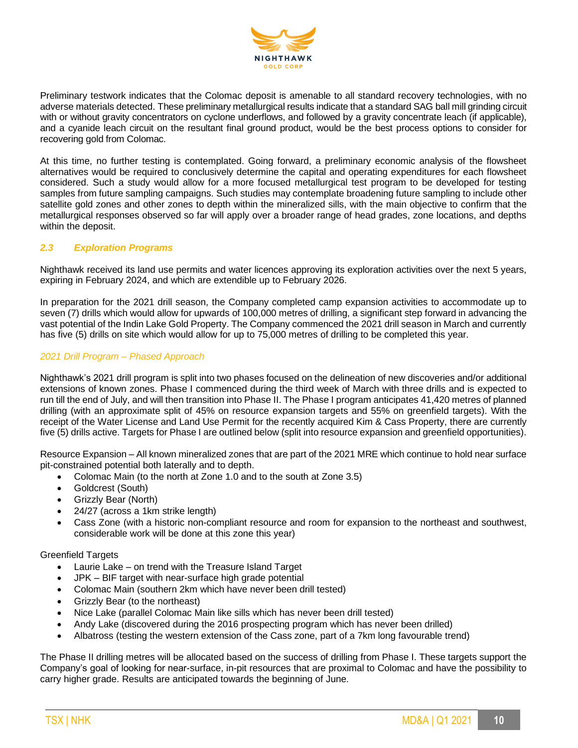

Preliminary testwork indicates that the Colomac deposit is amenable to all standard recovery technologies, with no adverse materials detected. These preliminary metallurgical results indicate that a standard SAG ball mill grinding circuit with or without gravity concentrators on cyclone underflows, and followed by a gravity concentrate leach (if applicable), and a cyanide leach circuit on the resultant final ground product, would be the best process options to consider for recovering gold from Colomac.

At this time, no further testing is contemplated. Going forward, a preliminary economic analysis of the flowsheet alternatives would be required to conclusively determine the capital and operating expenditures for each flowsheet considered. Such a study would allow for a more focused metallurgical test program to be developed for testing samples from future sampling campaigns. Such studies may contemplate broadening future sampling to include other satellite gold zones and other zones to depth within the mineralized sills, with the main objective to confirm that the metallurgical responses observed so far will apply over a broader range of head grades, zone locations, and depths within the deposit.

# *2.3 Exploration Programs*

Nighthawk received its land use permits and water licences approving its exploration activities over the next 5 years, expiring in February 2024, and which are extendible up to February 2026.

In preparation for the 2021 drill season, the Company completed camp expansion activities to accommodate up to seven (7) drills which would allow for upwards of 100,000 metres of drilling, a significant step forward in advancing the vast potential of the Indin Lake Gold Property. The Company commenced the 2021 drill season in March and currently has five (5) drills on site which would allow for up to 75,000 metres of drilling to be completed this year.

# *2021 Drill Program – Phased Approach*

Nighthawk's 2021 drill program is split into two phases focused on the delineation of new discoveries and/or additional extensions of known zones. Phase I commenced during the third week of March with three drills and is expected to run till the end of July, and will then transition into Phase II. The Phase I program anticipates 41,420 metres of planned drilling (with an approximate split of 45% on resource expansion targets and 55% on greenfield targets). With the receipt of the Water License and Land Use Permit for the recently acquired Kim & Cass Property, there are currently five (5) drills active. Targets for Phase I are outlined below (split into resource expansion and greenfield opportunities).

Resource Expansion – All known mineralized zones that are part of the 2021 MRE which continue to hold near surface pit-constrained potential both laterally and to depth.

- Colomac Main (to the north at Zone 1.0 and to the south at Zone 3.5)
- Goldcrest (South)
- Grizzly Bear (North)
- 24/27 (across a 1km strike length)
- Cass Zone (with a historic non-compliant resource and room for expansion to the northeast and southwest, considerable work will be done at this zone this year)

#### Greenfield Targets

- Laurie Lake on trend with the Treasure Island Target
- JPK BIF target with near-surface high grade potential
- Colomac Main (southern 2km which have never been drill tested)
- Grizzly Bear (to the northeast)
- Nice Lake (parallel Colomac Main like sills which has never been drill tested)
- Andy Lake (discovered during the 2016 prospecting program which has never been drilled)
- Albatross (testing the western extension of the Cass zone, part of a 7km long favourable trend)

The Phase II drilling metres will be allocated based on the success of drilling from Phase I. These targets support the Company's goal of looking for near-surface, in-pit resources that are proximal to Colomac and have the possibility to carry higher grade. Results are anticipated towards the beginning of June.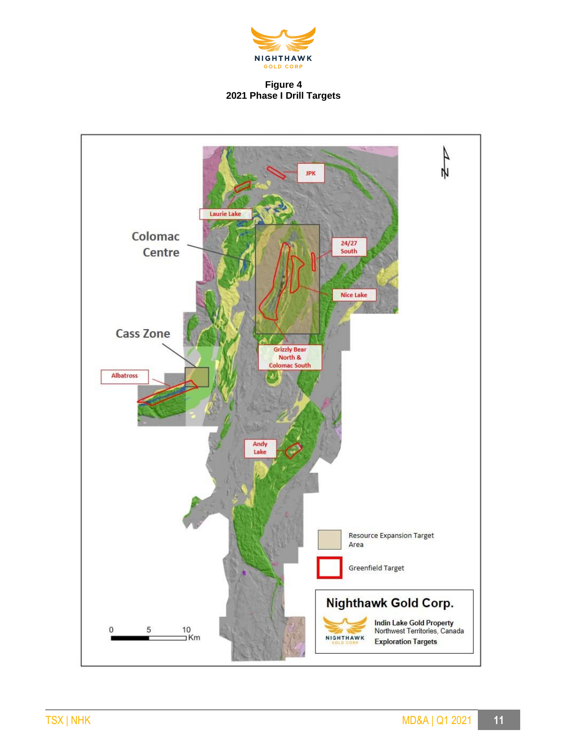

# **Figure 4 2021 Phase I Drill Targets**

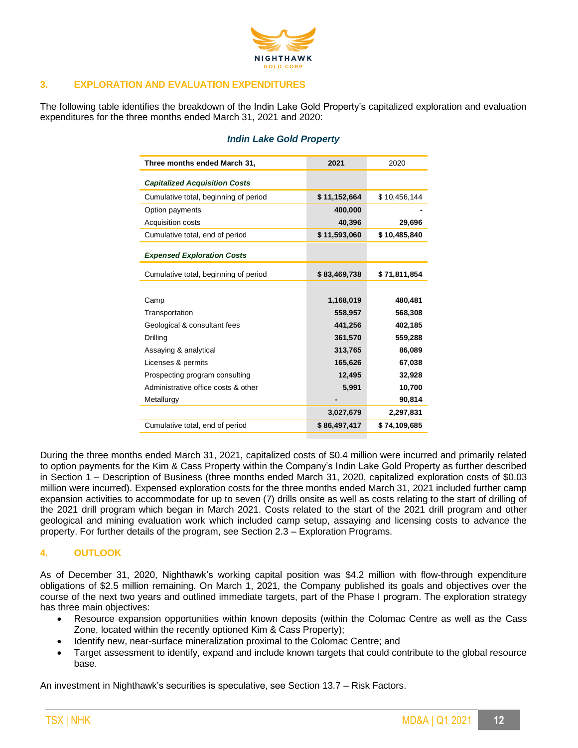

# **3. EXPLORATION AND EVALUATION EXPENDITURES**

The following table identifies the breakdown of the Indin Lake Gold Property's capitalized exploration and evaluation expenditures for the three months ended March 31, 2021 and 2020:

| Three months ended March 31,          | 2021         | 2020         |
|---------------------------------------|--------------|--------------|
| <b>Capitalized Acquisition Costs</b>  |              |              |
| Cumulative total, beginning of period | \$11,152,664 | \$10,456,144 |
| Option payments                       | 400,000      |              |
| Acquisition costs                     | 40,396       | 29,696       |
| Cumulative total, end of period       | \$11,593,060 | \$10,485,840 |
| <b>Expensed Exploration Costs</b>     |              |              |
| Cumulative total, beginning of period | \$83,469,738 | \$71,811,854 |
|                                       |              |              |
| Camp                                  | 1,168,019    | 480,481      |
| Transportation                        | 558,957      | 568,308      |
| Geological & consultant fees          | 441,256      | 402,185      |
| Drilling                              | 361,570      | 559,288      |
| Assaying & analytical                 | 313,765      | 86,089       |
| Licenses & permits                    | 165,626      | 67,038       |
| Prospecting program consulting        | 12,495       | 32,928       |
| Administrative office costs & other   | 5,991        | 10,700       |
| Metallurgy                            |              | 90,814       |
|                                       | 3,027,679    | 2,297,831    |
| Cumulative total, end of period       | \$86,497,417 | \$74,109,685 |

# *Indin Lake Gold Property*

During the three months ended March 31, 2021, capitalized costs of \$0.4 million were incurred and primarily related to option payments for the Kim & Cass Property within the Company's Indin Lake Gold Property as further described in Section 1 – Description of Business (three months ended March 31, 2020, capitalized exploration costs of \$0.03 million were incurred). Expensed exploration costs for the three months ended March 31, 2021 included further camp expansion activities to accommodate for up to seven (7) drills onsite as well as costs relating to the start of drilling of the 2021 drill program which began in March 2021. Costs related to the start of the 2021 drill program and other geological and mining evaluation work which included camp setup, assaying and licensing costs to advance the property. For further details of the program, see Section 2.3 – Exploration Programs.

# **4. OUTLOOK**

As of December 31, 2020, Nighthawk's working capital position was \$4.2 million with flow-through expenditure obligations of \$2.5 million remaining. On March 1, 2021, the Company published its goals and objectives over the course of the next two years and outlined immediate targets, part of the Phase I program. The exploration strategy has three main objectives:

- Resource expansion opportunities within known deposits (within the Colomac Centre as well as the Cass Zone, located within the recently optioned Kim & Cass Property);
- Identify new, near-surface mineralization proximal to the Colomac Centre; and
- Target assessment to identify, expand and include known targets that could contribute to the global resource base.

An investment in Nighthawk's securities is speculative, see Section 13.7 – Risk Factors.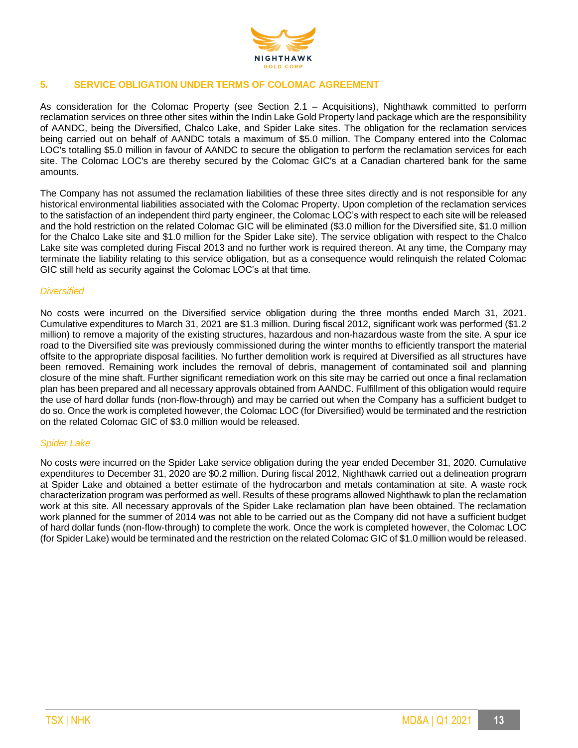

# **5. SERVICE OBLIGATION UNDER TERMS OF COLOMAC AGREEMENT**

As consideration for the Colomac Property (see Section 2.1 – Acquisitions), Nighthawk committed to perform reclamation services on three other sites within the Indin Lake Gold Property land package which are the responsibility of AANDC, being the Diversified, Chalco Lake, and Spider Lake sites. The obligation for the reclamation services being carried out on behalf of AANDC totals a maximum of \$5.0 million. The Company entered into the Colomac LOC's totalling \$5.0 million in favour of AANDC to secure the obligation to perform the reclamation services for each site. The Colomac LOC's are thereby secured by the Colomac GIC's at a Canadian chartered bank for the same amounts.

The Company has not assumed the reclamation liabilities of these three sites directly and is not responsible for any historical environmental liabilities associated with the Colomac Property. Upon completion of the reclamation services to the satisfaction of an independent third party engineer, the Colomac LOC's with respect to each site will be released and the hold restriction on the related Colomac GIC will be eliminated (\$3.0 million for the Diversified site, \$1.0 million for the Chalco Lake site and \$1.0 million for the Spider Lake site). The service obligation with respect to the Chalco Lake site was completed during Fiscal 2013 and no further work is required thereon. At any time, the Company may terminate the liability relating to this service obligation, but as a consequence would relinquish the related Colomac GIC still held as security against the Colomac LOC's at that time.

#### *Diversified*

No costs were incurred on the Diversified service obligation during the three months ended March 31, 2021. Cumulative expenditures to March 31, 2021 are \$1.3 million. During fiscal 2012, significant work was performed (\$1.2 million) to remove a majority of the existing structures, hazardous and non-hazardous waste from the site. A spur ice road to the Diversified site was previously commissioned during the winter months to efficiently transport the material offsite to the appropriate disposal facilities. No further demolition work is required at Diversified as all structures have been removed. Remaining work includes the removal of debris, management of contaminated soil and planning closure of the mine shaft. Further significant remediation work on this site may be carried out once a final reclamation plan has been prepared and all necessary approvals obtained from AANDC. Fulfillment of this obligation would require the use of hard dollar funds (non-flow-through) and may be carried out when the Company has a sufficient budget to do so. Once the work is completed however, the Colomac LOC (for Diversified) would be terminated and the restriction on the related Colomac GIC of \$3.0 million would be released.

#### *Spider Lake*

No costs were incurred on the Spider Lake service obligation during the year ended December 31, 2020. Cumulative expenditures to December 31, 2020 are \$0.2 million. During fiscal 2012, Nighthawk carried out a delineation program at Spider Lake and obtained a better estimate of the hydrocarbon and metals contamination at site. A waste rock characterization program was performed as well. Results of these programs allowed Nighthawk to plan the reclamation work at this site. All necessary approvals of the Spider Lake reclamation plan have been obtained. The reclamation work planned for the summer of 2014 was not able to be carried out as the Company did not have a sufficient budget of hard dollar funds (non-flow-through) to complete the work. Once the work is completed however, the Colomac LOC (for Spider Lake) would be terminated and the restriction on the related Colomac GIC of \$1.0 million would be released.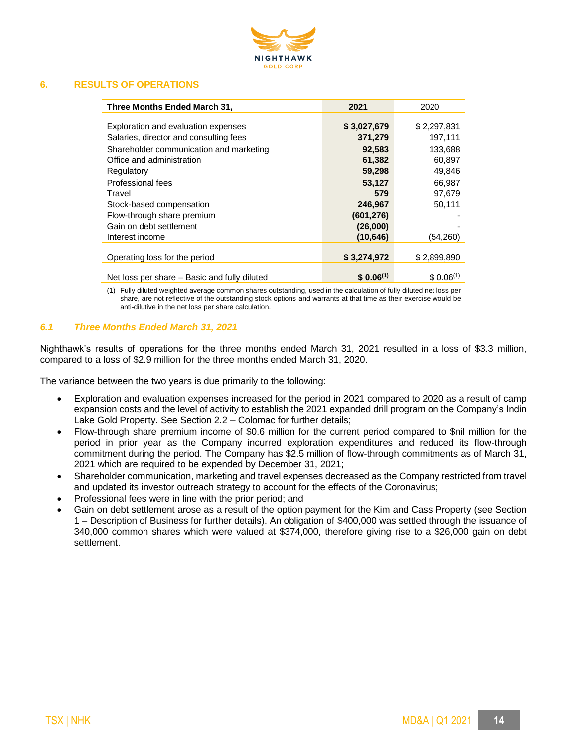

# **6. RESULTS OF OPERATIONS**

| Three Months Ended March 31,                 | 2021          | 2020          |
|----------------------------------------------|---------------|---------------|
|                                              |               |               |
| Exploration and evaluation expenses          | \$3,027,679   | \$2,297,831   |
| Salaries, director and consulting fees       | 371,279       | 197,111       |
| Shareholder communication and marketing      | 92,583        | 133,688       |
| Office and administration                    | 61,382        | 60,897        |
| Regulatory                                   | 59,298        | 49,846        |
| Professional fees                            | 53,127        | 66.987        |
| Travel                                       | 579           | 97.679        |
| Stock-based compensation                     | 246,967       | 50,111        |
| Flow-through share premium                   | (601, 276)    |               |
| Gain on debt settlement                      | (26,000)      |               |
| Interest income                              | (10, 646)     | (54,260)      |
|                                              |               |               |
| Operating loss for the period                | \$3,274,972   | \$2,899,890   |
|                                              |               |               |
| Net loss per share – Basic and fully diluted | $$0.06^{(1)}$ | $$0.06^{(1)}$ |

(1) Fully diluted weighted average common shares outstanding, used in the calculation of fully diluted net loss per share, are not reflective of the outstanding stock options and warrants at that time as their exercise would be anti-dilutive in the net loss per share calculation.

# *6.1 Three Months Ended March 31, 2021*

Nighthawk's results of operations for the three months ended March 31, 2021 resulted in a loss of \$3.3 million, compared to a loss of \$2.9 million for the three months ended March 31, 2020.

The variance between the two years is due primarily to the following:

- Exploration and evaluation expenses increased for the period in 2021 compared to 2020 as a result of camp expansion costs and the level of activity to establish the 2021 expanded drill program on the Company's Indin Lake Gold Property. See Section 2.2 – Colomac for further details;
- Flow-through share premium income of \$0.6 million for the current period compared to \$nil million for the period in prior year as the Company incurred exploration expenditures and reduced its flow-through commitment during the period. The Company has \$2.5 million of flow-through commitments as of March 31, 2021 which are required to be expended by December 31, 2021;
- Shareholder communication, marketing and travel expenses decreased as the Company restricted from travel and updated its investor outreach strategy to account for the effects of the Coronavirus;
- Professional fees were in line with the prior period; and
- Gain on debt settlement arose as a result of the option payment for the Kim and Cass Property (see Section 1 – Description of Business for further details). An obligation of \$400,000 was settled through the issuance of 340,000 common shares which were valued at \$374,000, therefore giving rise to a \$26,000 gain on debt settlement.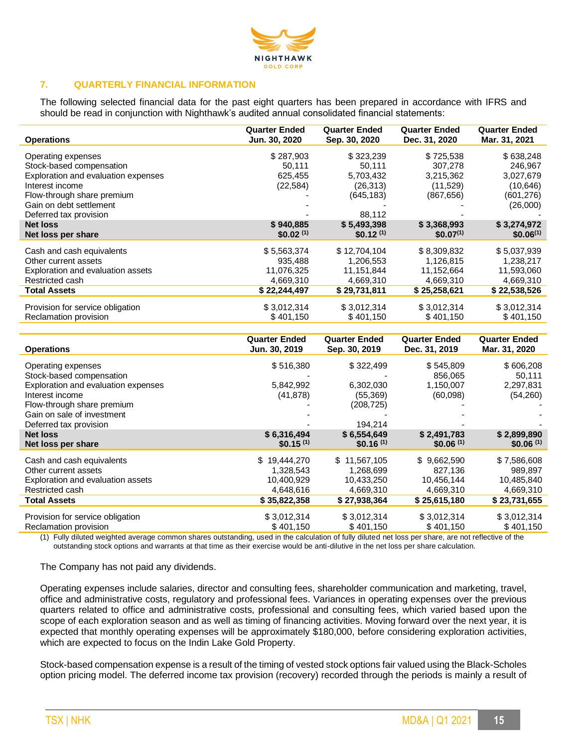

# **7. QUARTERLY FINANCIAL INFORMATION**

The following selected financial data for the past eight quarters has been prepared in accordance with IFRS and should be read in conjunction with Nighthawk's audited annual consolidated financial statements:

| <b>Operations</b>                     | <b>Quarter Ended</b><br>Jun. 30, 2020 | <b>Quarter Ended</b><br>Sep. 30, 2020 | <b>Quarter Ended</b><br>Dec. 31, 2020 | <b>Quarter Ended</b><br>Mar. 31, 2021 |
|---------------------------------------|---------------------------------------|---------------------------------------|---------------------------------------|---------------------------------------|
| Operating expenses                    | \$287,903                             | \$323,239                             | \$725,538                             | \$638,248                             |
| Stock-based compensation              | 50,111                                | 50,111                                | 307,278                               | 246,967                               |
| Exploration and evaluation expenses   | 625,455                               | 5,703,432                             | 3,215,362                             | 3,027,679                             |
| Interest income                       | (22, 584)                             | (26, 313)                             | (11,529)                              | (10, 646)                             |
| Flow-through share premium            |                                       | (645, 183)                            | (867, 656)                            | (601, 276)                            |
| Gain on debt settlement               |                                       |                                       |                                       | (26,000)                              |
| Deferred tax provision                |                                       | 88.112                                |                                       |                                       |
| <b>Net loss</b><br>Net loss per share | \$940,885<br>\$0.02 <sup>(1)</sup>    | \$5,493,398<br>$$0.12^{(1)}$$         | \$3,368,993<br>$$0.07^{(1)}$          | \$3,274,972<br>$$0.06^{(1)}$          |
|                                       |                                       |                                       |                                       |                                       |
| Cash and cash equivalents             | \$5,563,374                           | \$12,704,104                          | \$8,309,832                           | \$5,037,939                           |
| Other current assets                  | 935,488                               | 1,206,553                             | 1.126.815                             | 1,238,217                             |
| Exploration and evaluation assets     | 11,076,325                            | 11,151,844                            | 11,152,664                            | 11,593,060                            |
| Restricted cash                       | 4,669,310                             | 4,669,310                             | 4,669,310                             | 4,669,310                             |
| <b>Total Assets</b>                   | \$22,244,497                          | \$29,731,811                          | \$25,258,621                          | \$22,538,526                          |
| Provision for service obligation      | \$3,012,314                           | \$3,012,314                           | \$3,012,314                           | \$3,012,314                           |
| Reclamation provision                 | \$401,150                             | \$401,150                             | \$401,150                             | \$401,150                             |

| <b>Operations</b>                   | <b>Quarter Ended</b><br>Jun. 30, 2019 | <b>Quarter Ended</b><br>Sep. 30, 2019 | <b>Quarter Ended</b><br>Dec. 31, 2019 | <b>Quarter Ended</b><br>Mar. 31, 2020 |
|-------------------------------------|---------------------------------------|---------------------------------------|---------------------------------------|---------------------------------------|
| Operating expenses                  | \$516,380                             | \$322,499                             | \$545,809                             | \$606,208                             |
| Stock-based compensation            |                                       |                                       | 856,065                               | 50,111                                |
| Exploration and evaluation expenses | 5,842,992                             | 6,302,030                             | 1,150,007                             | 2,297,831                             |
| Interest income                     | (41, 878)                             | (55, 369)                             | (60,098)                              | (54,260)                              |
| Flow-through share premium          |                                       | (208, 725)                            |                                       |                                       |
| Gain on sale of investment          |                                       |                                       |                                       |                                       |
| Deferred tax provision              |                                       | 194,214                               |                                       |                                       |
| <b>Net loss</b>                     | \$6,316,494<br>$$0.15^{(1)}$$         | \$6,554,649<br>\$0.16 <sup>(1)</sup>  | \$2,491,783<br>\$0.06 <sup>(1)</sup>  | \$2,899,890<br>\$0.06 <sup>(1)</sup>  |
| Net loss per share                  |                                       |                                       |                                       |                                       |
| Cash and cash equivalents           | \$19,444,270                          | \$11,567,105                          | \$9,662,590                           | \$7,586,608                           |
| Other current assets                | 1,328,543                             | 1,268,699                             | 827.136                               | 989,897                               |
| Exploration and evaluation assets   | 10,400,929                            | 10,433,250                            | 10,456,144                            | 10,485,840                            |
| Restricted cash                     | 4,648,616                             | 4,669,310                             | 4,669,310                             | 4,669,310                             |
| <b>Total Assets</b>                 | \$35,822,358                          | \$27,938,364                          | \$25,615,180                          | \$23,731,655                          |
| Provision for service obligation    | \$3,012,314                           | \$3,012,314                           | \$3,012,314                           | \$3,012,314                           |
| Reclamation provision               | \$401,150                             | \$401,150                             | \$401,150                             | \$401,150                             |

(1) Fully diluted weighted average common shares outstanding, used in the calculation of fully diluted net loss per share, are not reflective of the outstanding stock options and warrants at that time as their exercise would be anti-dilutive in the net loss per share calculation.

The Company has not paid any dividends.

Operating expenses include salaries, director and consulting fees, shareholder communication and marketing, travel, office and administrative costs, regulatory and professional fees. Variances in operating expenses over the previous quarters related to office and administrative costs, professional and consulting fees, which varied based upon the scope of each exploration season and as well as timing of financing activities. Moving forward over the next year, it is expected that monthly operating expenses will be approximately \$180,000, before considering exploration activities, which are expected to focus on the Indin Lake Gold Property.

Stock-based compensation expense is a result of the timing of vested stock options fair valued using the Black-Scholes option pricing model. The deferred income tax provision (recovery) recorded through the periods is mainly a result of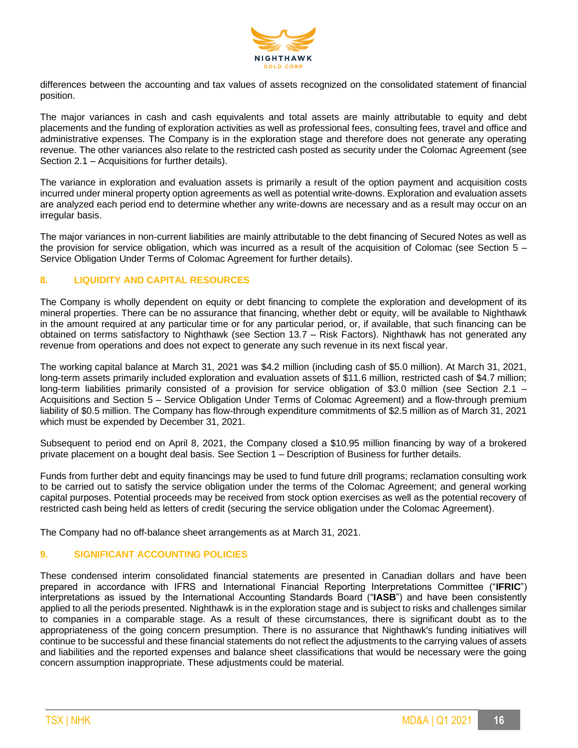

differences between the accounting and tax values of assets recognized on the consolidated statement of financial position.

The major variances in cash and cash equivalents and total assets are mainly attributable to equity and debt placements and the funding of exploration activities as well as professional fees, consulting fees, travel and office and administrative expenses. The Company is in the exploration stage and therefore does not generate any operating revenue. The other variances also relate to the restricted cash posted as security under the Colomac Agreement (see Section 2.1 – Acquisitions for further details).

The variance in exploration and evaluation assets is primarily a result of the option payment and acquisition costs incurred under mineral property option agreements as well as potential write-downs. Exploration and evaluation assets are analyzed each period end to determine whether any write-downs are necessary and as a result may occur on an irregular basis.

The major variances in non-current liabilities are mainly attributable to the debt financing of Secured Notes as well as the provision for service obligation, which was incurred as a result of the acquisition of Colomac (see Section 5 – Service Obligation Under Terms of Colomac Agreement for further details).

# **8. LIQUIDITY AND CAPITAL RESOURCES**

The Company is wholly dependent on equity or debt financing to complete the exploration and development of its mineral properties. There can be no assurance that financing, whether debt or equity, will be available to Nighthawk in the amount required at any particular time or for any particular period, or, if available, that such financing can be obtained on terms satisfactory to Nighthawk (see Section 13.7 – Risk Factors). Nighthawk has not generated any revenue from operations and does not expect to generate any such revenue in its next fiscal year.

The working capital balance at March 31, 2021 was \$4.2 million (including cash of \$5.0 million). At March 31, 2021, long-term assets primarily included exploration and evaluation assets of \$11.6 million, restricted cash of \$4.7 million; long-term liabilities primarily consisted of a provision for service obligation of \$3.0 million (see Section 2.1 – Acquisitions and Section 5 – Service Obligation Under Terms of Colomac Agreement) and a flow-through premium liability of \$0.5 million. The Company has flow-through expenditure commitments of \$2.5 million as of March 31, 2021 which must be expended by December 31, 2021.

Subsequent to period end on April 8, 2021, the Company closed a \$10.95 million financing by way of a brokered private placement on a bought deal basis. See Section 1 – Description of Business for further details.

Funds from further debt and equity financings may be used to fund future drill programs; reclamation consulting work to be carried out to satisfy the service obligation under the terms of the Colomac Agreement; and general working capital purposes. Potential proceeds may be received from stock option exercises as well as the potential recovery of restricted cash being held as letters of credit (securing the service obligation under the Colomac Agreement).

The Company had no off-balance sheet arrangements as at March 31, 2021.

# **9. SIGNIFICANT ACCOUNTING POLICIES**

These condensed interim consolidated financial statements are presented in Canadian dollars and have been prepared in accordance with IFRS and International Financial Reporting Interpretations Committee ("**IFRIC**") interpretations as issued by the International Accounting Standards Board ("**IASB**") and have been consistently applied to all the periods presented. Nighthawk is in the exploration stage and is subject to risks and challenges similar to companies in a comparable stage. As a result of these circumstances, there is significant doubt as to the appropriateness of the going concern presumption. There is no assurance that Nighthawk's funding initiatives will continue to be successful and these financial statements do not reflect the adjustments to the carrying values of assets and liabilities and the reported expenses and balance sheet classifications that would be necessary were the going concern assumption inappropriate. These adjustments could be material.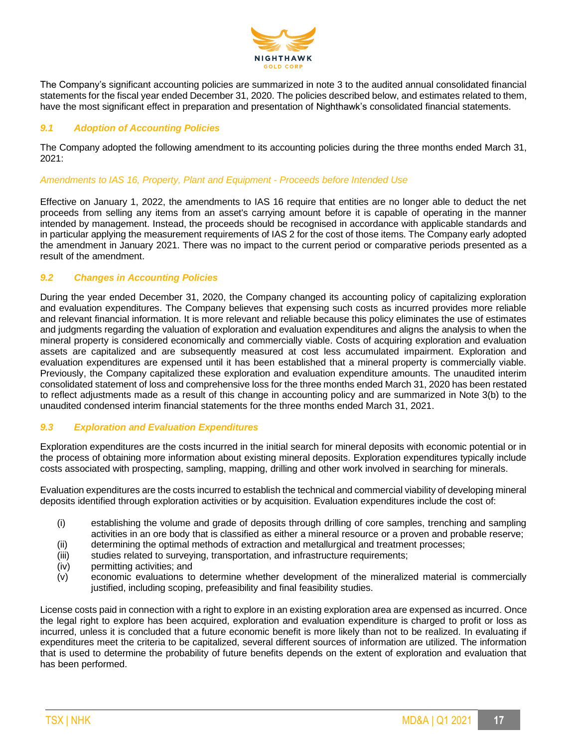

The Company's significant accounting policies are summarized in note 3 to the audited annual consolidated financial statements for the fiscal year ended December 31, 2020. The policies described below, and estimates related to them, have the most significant effect in preparation and presentation of Nighthawk's consolidated financial statements.

# *9.1 Adoption of Accounting Policies*

The Company adopted the following amendment to its accounting policies during the three months ended March 31, 2021:

## *Amendments to IAS 16, Property, Plant and Equipment - Proceeds before Intended Use*

Effective on January 1, 2022, the amendments to IAS 16 require that entities are no longer able to deduct the net proceeds from selling any items from an asset's carrying amount before it is capable of operating in the manner intended by management. Instead, the proceeds should be recognised in accordance with applicable standards and in particular applying the measurement requirements of IAS 2 for the cost of those items. The Company early adopted the amendment in January 2021. There was no impact to the current period or comparative periods presented as a result of the amendment.

# *9.2 Changes in Accounting Policies*

During the year ended December 31, 2020, the Company changed its accounting policy of capitalizing exploration and evaluation expenditures. The Company believes that expensing such costs as incurred provides more reliable and relevant financial information. It is more relevant and reliable because this policy eliminates the use of estimates and judgments regarding the valuation of exploration and evaluation expenditures and aligns the analysis to when the mineral property is considered economically and commercially viable. Costs of acquiring exploration and evaluation assets are capitalized and are subsequently measured at cost less accumulated impairment. Exploration and evaluation expenditures are expensed until it has been established that a mineral property is commercially viable. Previously, the Company capitalized these exploration and evaluation expenditure amounts. The unaudited interim consolidated statement of loss and comprehensive loss for the three months ended March 31, 2020 has been restated to reflect adjustments made as a result of this change in accounting policy and are summarized in Note 3(b) to the unaudited condensed interim financial statements for the three months ended March 31, 2021.

#### *9.3 Exploration and Evaluation Expenditures*

Exploration expenditures are the costs incurred in the initial search for mineral deposits with economic potential or in the process of obtaining more information about existing mineral deposits. Exploration expenditures typically include costs associated with prospecting, sampling, mapping, drilling and other work involved in searching for minerals.

Evaluation expenditures are the costs incurred to establish the technical and commercial viability of developing mineral deposits identified through exploration activities or by acquisition. Evaluation expenditures include the cost of:

- (i) establishing the volume and grade of deposits through drilling of core samples, trenching and sampling activities in an ore body that is classified as either a mineral resource or a proven and probable reserve;
- (ii) determining the optimal methods of extraction and metallurgical and treatment processes;
- (iii) studies related to surveying, transportation, and infrastructure requirements;
- (iv) permitting activities; and
- (v) economic evaluations to determine whether development of the mineralized material is commercially justified, including scoping, prefeasibility and final feasibility studies.

License costs paid in connection with a right to explore in an existing exploration area are expensed as incurred. Once the legal right to explore has been acquired, exploration and evaluation expenditure is charged to profit or loss as incurred, unless it is concluded that a future economic benefit is more likely than not to be realized. In evaluating if expenditures meet the criteria to be capitalized, several different sources of information are utilized. The information that is used to determine the probability of future benefits depends on the extent of exploration and evaluation that has been performed.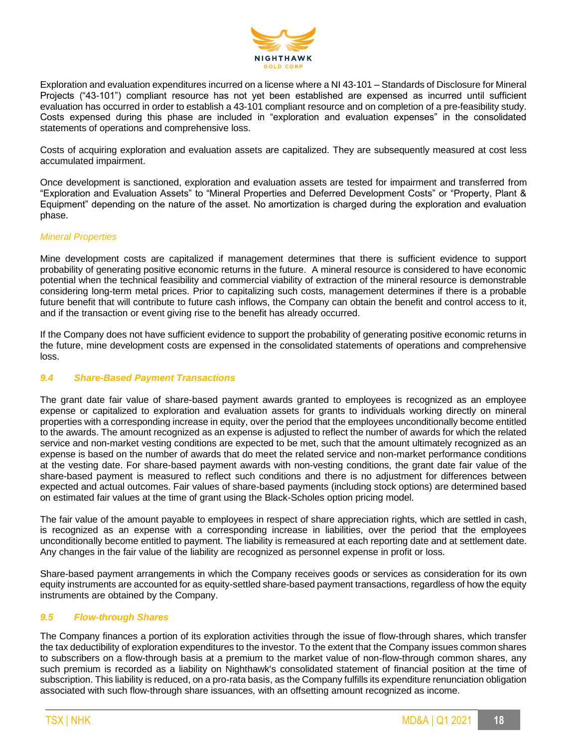

Exploration and evaluation expenditures incurred on a license where a NI 43-101 – Standards of Disclosure for Mineral Projects ("43-101") compliant resource has not yet been established are expensed as incurred until sufficient evaluation has occurred in order to establish a 43-101 compliant resource and on completion of a pre-feasibility study. Costs expensed during this phase are included in "exploration and evaluation expenses" in the consolidated statements of operations and comprehensive loss.

Costs of acquiring exploration and evaluation assets are capitalized. They are subsequently measured at cost less accumulated impairment.

Once development is sanctioned, exploration and evaluation assets are tested for impairment and transferred from "Exploration and Evaluation Assets" to "Mineral Properties and Deferred Development Costs" or "Property, Plant & Equipment" depending on the nature of the asset. No amortization is charged during the exploration and evaluation phase.

# *Mineral Properties*

Mine development costs are capitalized if management determines that there is sufficient evidence to support probability of generating positive economic returns in the future. A mineral resource is considered to have economic potential when the technical feasibility and commercial viability of extraction of the mineral resource is demonstrable considering long-term metal prices. Prior to capitalizing such costs, management determines if there is a probable future benefit that will contribute to future cash inflows, the Company can obtain the benefit and control access to it, and if the transaction or event giving rise to the benefit has already occurred.

If the Company does not have sufficient evidence to support the probability of generating positive economic returns in the future, mine development costs are expensed in the consolidated statements of operations and comprehensive loss.

## *9.4 Share-Based Payment Transactions*

The grant date fair value of share-based payment awards granted to employees is recognized as an employee expense or capitalized to exploration and evaluation assets for grants to individuals working directly on mineral properties with a corresponding increase in equity, over the period that the employees unconditionally become entitled to the awards. The amount recognized as an expense is adjusted to reflect the number of awards for which the related service and non-market vesting conditions are expected to be met, such that the amount ultimately recognized as an expense is based on the number of awards that do meet the related service and non-market performance conditions at the vesting date. For share-based payment awards with non-vesting conditions, the grant date fair value of the share-based payment is measured to reflect such conditions and there is no adjustment for differences between expected and actual outcomes. Fair values of share-based payments (including stock options) are determined based on estimated fair values at the time of grant using the Black-Scholes option pricing model.

The fair value of the amount payable to employees in respect of share appreciation rights, which are settled in cash, is recognized as an expense with a corresponding increase in liabilities, over the period that the employees unconditionally become entitled to payment. The liability is remeasured at each reporting date and at settlement date. Any changes in the fair value of the liability are recognized as personnel expense in profit or loss.

Share-based payment arrangements in which the Company receives goods or services as consideration for its own equity instruments are accounted for as equity-settled share-based payment transactions, regardless of how the equity instruments are obtained by the Company.

#### *9.5 Flow-through Shares*

The Company finances a portion of its exploration activities through the issue of flow-through shares, which transfer the tax deductibility of exploration expenditures to the investor. To the extent that the Company issues common shares to subscribers on a flow-through basis at a premium to the market value of non-flow-through common shares, any such premium is recorded as a liability on Nighthawk's consolidated statement of financial position at the time of subscription. This liability is reduced, on a pro-rata basis, as the Company fulfills its expenditure renunciation obligation associated with such flow-through share issuances, with an offsetting amount recognized as income.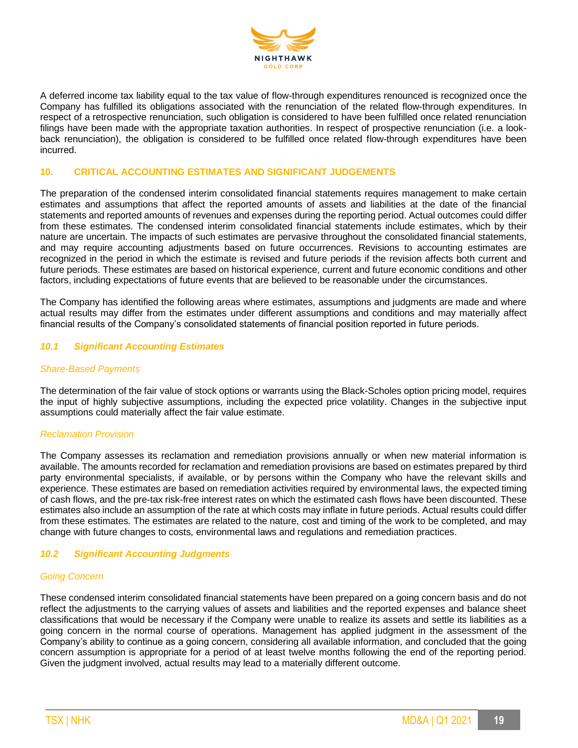

A deferred income tax liability equal to the tax value of flow-through expenditures renounced is recognized once the Company has fulfilled its obligations associated with the renunciation of the related flow-through expenditures. In respect of a retrospective renunciation, such obligation is considered to have been fulfilled once related renunciation filings have been made with the appropriate taxation authorities. In respect of prospective renunciation (i.e. a lookback renunciation), the obligation is considered to be fulfilled once related flow-through expenditures have been incurred.

## **10. CRITICAL ACCOUNTING ESTIMATES AND SIGNIFICANT JUDGEMENTS**

The preparation of the condensed interim consolidated financial statements requires management to make certain estimates and assumptions that affect the reported amounts of assets and liabilities at the date of the financial statements and reported amounts of revenues and expenses during the reporting period. Actual outcomes could differ from these estimates. The condensed interim consolidated financial statements include estimates, which by their nature are uncertain. The impacts of such estimates are pervasive throughout the consolidated financial statements, and may require accounting adjustments based on future occurrences. Revisions to accounting estimates are recognized in the period in which the estimate is revised and future periods if the revision affects both current and future periods. These estimates are based on historical experience, current and future economic conditions and other factors, including expectations of future events that are believed to be reasonable under the circumstances.

The Company has identified the following areas where estimates, assumptions and judgments are made and where actual results may differ from the estimates under different assumptions and conditions and may materially affect financial results of the Company's consolidated statements of financial position reported in future periods.

#### *10.1 Significant Accounting Estimates*

#### *Share-Based Payments*

The determination of the fair value of stock options or warrants using the Black-Scholes option pricing model, requires the input of highly subjective assumptions, including the expected price volatility. Changes in the subjective input assumptions could materially affect the fair value estimate.

#### *Reclamation Provision*

The Company assesses its reclamation and remediation provisions annually or when new material information is available. The amounts recorded for reclamation and remediation provisions are based on estimates prepared by third party environmental specialists, if available, or by persons within the Company who have the relevant skills and experience. These estimates are based on remediation activities required by environmental laws, the expected timing of cash flows, and the pre-tax risk-free interest rates on which the estimated cash flows have been discounted. These estimates also include an assumption of the rate at which costs may inflate in future periods. Actual results could differ from these estimates. The estimates are related to the nature, cost and timing of the work to be completed, and may change with future changes to costs, environmental laws and regulations and remediation practices.

#### *10.2 Significant Accounting Judgments*

#### *Going Concern*

These condensed interim consolidated financial statements have been prepared on a going concern basis and do not reflect the adjustments to the carrying values of assets and liabilities and the reported expenses and balance sheet classifications that would be necessary if the Company were unable to realize its assets and settle its liabilities as a going concern in the normal course of operations. Management has applied judgment in the assessment of the Company's ability to continue as a going concern, considering all available information, and concluded that the going concern assumption is appropriate for a period of at least twelve months following the end of the reporting period. Given the judgment involved, actual results may lead to a materially different outcome.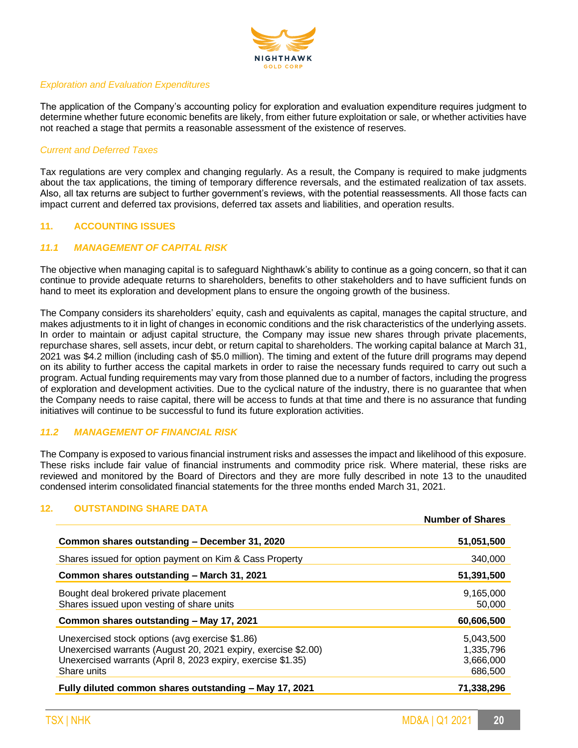

## *Exploration and Evaluation Expenditures*

The application of the Company's accounting policy for exploration and evaluation expenditure requires judgment to determine whether future economic benefits are likely, from either future exploitation or sale, or whether activities have not reached a stage that permits a reasonable assessment of the existence of reserves.

# *Current and Deferred Taxes*

Tax regulations are very complex and changing regularly. As a result, the Company is required to make judgments about the tax applications, the timing of temporary difference reversals, and the estimated realization of tax assets. Also, all tax returns are subject to further government's reviews, with the potential reassessments. All those facts can impact current and deferred tax provisions, deferred tax assets and liabilities, and operation results.

# **11. ACCOUNTING ISSUES**

# *11.1 MANAGEMENT OF CAPITAL RISK*

The objective when managing capital is to safeguard Nighthawk's ability to continue as a going concern, so that it can continue to provide adequate returns to shareholders, benefits to other stakeholders and to have sufficient funds on hand to meet its exploration and development plans to ensure the ongoing growth of the business.

The Company considers its shareholders' equity, cash and equivalents as capital, manages the capital structure, and makes adjustments to it in light of changes in economic conditions and the risk characteristics of the underlying assets. In order to maintain or adjust capital structure, the Company may issue new shares through private placements, repurchase shares, sell assets, incur debt, or return capital to shareholders. The working capital balance at March 31, 2021 was \$4.2 million (including cash of \$5.0 million). The timing and extent of the future drill programs may depend on its ability to further access the capital markets in order to raise the necessary funds required to carry out such a program. Actual funding requirements may vary from those planned due to a number of factors, including the progress of exploration and development activities. Due to the cyclical nature of the industry, there is no guarantee that when the Company needs to raise capital, there will be access to funds at that time and there is no assurance that funding initiatives will continue to be successful to fund its future exploration activities.

# *11.2 MANAGEMENT OF FINANCIAL RISK*

The Company is exposed to various financial instrument risks and assesses the impact and likelihood of this exposure. These risks include fair value of financial instruments and commodity price risk. Where material, these risks are reviewed and monitored by the Board of Directors and they are more fully described in note 13 to the unaudited condensed interim consolidated financial statements for the three months ended March 31, 2021.

#### **12. OUTSTANDING SHARE DATA**

|                                                                                                                                                                                                  | <b>Number of Shares</b>                        |
|--------------------------------------------------------------------------------------------------------------------------------------------------------------------------------------------------|------------------------------------------------|
| Common shares outstanding – December 31, 2020                                                                                                                                                    | 51,051,500                                     |
| Shares issued for option payment on Kim & Cass Property                                                                                                                                          | 340,000                                        |
| Common shares outstanding - March 31, 2021                                                                                                                                                       | 51,391,500                                     |
| Bought deal brokered private placement<br>Shares issued upon vesting of share units                                                                                                              | 9.165.000<br>50,000                            |
| Common shares outstanding - May 17, 2021                                                                                                                                                         | 60,606,500                                     |
| Unexercised stock options (avg exercise \$1.86)<br>Unexercised warrants (August 20, 2021 expiry, exercise \$2.00)<br>Unexercised warrants (April 8, 2023 expiry, exercise \$1.35)<br>Share units | 5,043,500<br>1,335,796<br>3,666,000<br>686,500 |
| Fully diluted common shares outstanding – May 17, 2021                                                                                                                                           | 71,338,296                                     |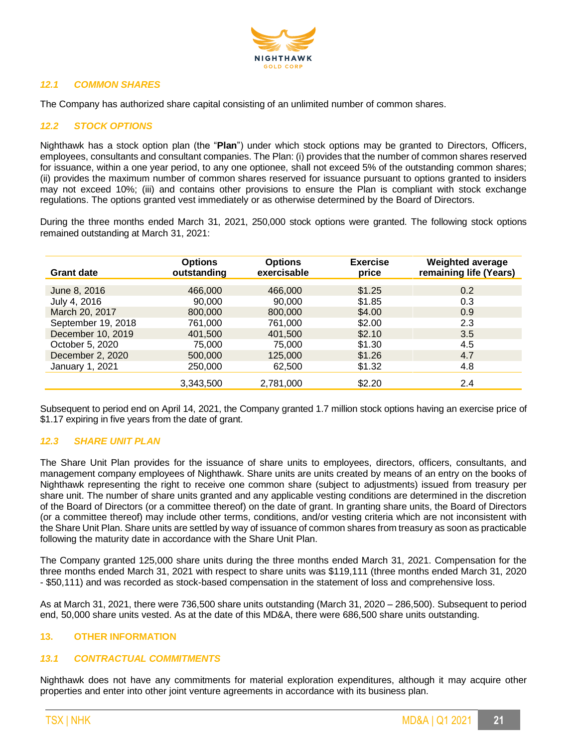

# *12.1 COMMON SHARES*

The Company has authorized share capital consisting of an unlimited number of common shares.

# *12.2 STOCK OPTIONS*

Nighthawk has a stock option plan (the "**Plan**") under which stock options may be granted to Directors, Officers, employees, consultants and consultant companies. The Plan: (i) provides that the number of common shares reserved for issuance, within a one year period, to any one optionee, shall not exceed 5% of the outstanding common shares; (ii) provides the maximum number of common shares reserved for issuance pursuant to options granted to insiders may not exceed 10%; (iii) and contains other provisions to ensure the Plan is compliant with stock exchange regulations. The options granted vest immediately or as otherwise determined by the Board of Directors.

During the three months ended March 31, 2021, 250,000 stock options were granted. The following stock options remained outstanding at March 31, 2021:

| <b>Grant date</b>  | <b>Options</b><br>outstanding | <b>Options</b><br>exercisable | <b>Exercise</b><br>price | <b>Weighted average</b><br>remaining life (Years) |
|--------------------|-------------------------------|-------------------------------|--------------------------|---------------------------------------------------|
| June 8, 2016       | 466,000                       | 466,000                       | \$1.25                   | 0.2                                               |
|                    |                               |                               |                          |                                                   |
| July 4, 2016       | 90,000                        | 90,000                        | \$1.85                   | 0.3                                               |
| March 20, 2017     | 800,000                       | 800,000                       | \$4.00                   | 0.9                                               |
| September 19, 2018 | 761,000                       | 761,000                       | \$2.00                   | 2.3                                               |
| December 10, 2019  | 401.500                       | 401.500                       | \$2.10                   | 3.5                                               |
| October 5, 2020    | 75.000                        | 75,000                        | \$1.30                   | 4.5                                               |
| December 2, 2020   | 500,000                       | 125,000                       | \$1.26                   | 4.7                                               |
| January 1, 2021    | 250,000                       | 62,500                        | \$1.32                   | 4.8                                               |
|                    | 3,343,500                     | 2,781,000                     | \$2.20                   | 2.4                                               |

Subsequent to period end on April 14, 2021, the Company granted 1.7 million stock options having an exercise price of \$1.17 expiring in five years from the date of grant.

#### *12.3 SHARE UNIT PLAN*

The Share Unit Plan provides for the issuance of share units to employees, directors, officers, consultants, and management company employees of Nighthawk. Share units are units created by means of an entry on the books of Nighthawk representing the right to receive one common share (subject to adjustments) issued from treasury per share unit. The number of share units granted and any applicable vesting conditions are determined in the discretion of the Board of Directors (or a committee thereof) on the date of grant. In granting share units, the Board of Directors (or a committee thereof) may include other terms, conditions, and/or vesting criteria which are not inconsistent with the Share Unit Plan. Share units are settled by way of issuance of common shares from treasury as soon as practicable following the maturity date in accordance with the Share Unit Plan.

The Company granted 125,000 share units during the three months ended March 31, 2021. Compensation for the three months ended March 31, 2021 with respect to share units was \$119,111 (three months ended March 31, 2020 - \$50,111) and was recorded as stock-based compensation in the statement of loss and comprehensive loss.

As at March 31, 2021, there were 736,500 share units outstanding (March 31, 2020 – 286,500). Subsequent to period end, 50,000 share units vested. As at the date of this MD&A, there were 686,500 share units outstanding.

#### **13. OTHER INFORMATION**

#### *13.1 CONTRACTUAL COMMITMENTS*

Nighthawk does not have any commitments for material exploration expenditures, although it may acquire other properties and enter into other joint venture agreements in accordance with its business plan.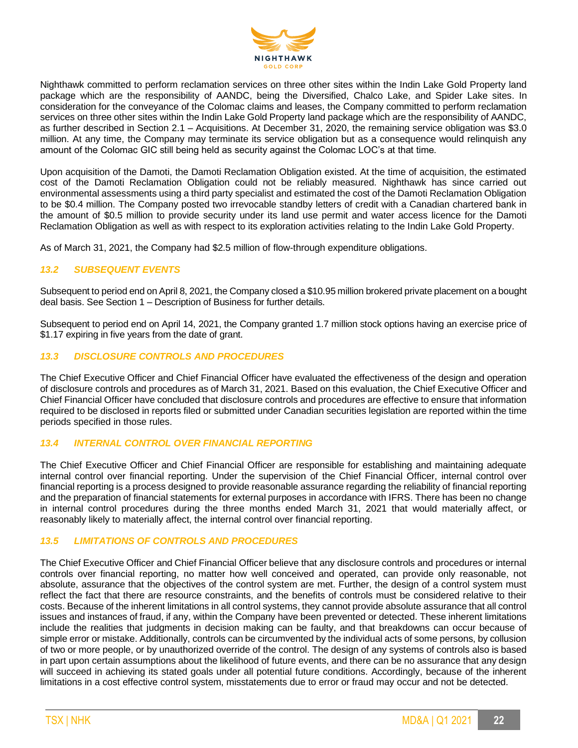

Nighthawk committed to perform reclamation services on three other sites within the Indin Lake Gold Property land package which are the responsibility of AANDC, being the Diversified, Chalco Lake, and Spider Lake sites. In consideration for the conveyance of the Colomac claims and leases, the Company committed to perform reclamation services on three other sites within the Indin Lake Gold Property land package which are the responsibility of AANDC, as further described in Section 2.1 – Acquisitions. At December 31, 2020, the remaining service obligation was \$3.0 million. At any time, the Company may terminate its service obligation but as a consequence would relinquish any amount of the Colomac GIC still being held as security against the Colomac LOC's at that time.

Upon acquisition of the Damoti, the Damoti Reclamation Obligation existed. At the time of acquisition, the estimated cost of the Damoti Reclamation Obligation could not be reliably measured. Nighthawk has since carried out environmental assessments using a third party specialist and estimated the cost of the Damoti Reclamation Obligation to be \$0.4 million. The Company posted two irrevocable standby letters of credit with a Canadian chartered bank in the amount of \$0.5 million to provide security under its land use permit and water access licence for the Damoti Reclamation Obligation as well as with respect to its exploration activities relating to the Indin Lake Gold Property.

As of March 31, 2021, the Company had \$2.5 million of flow-through expenditure obligations.

#### *13.2 SUBSEQUENT EVENTS*

Subsequent to period end on April 8, 2021, the Company closed a \$10.95 million brokered private placement on a bought deal basis. See Section 1 – Description of Business for further details.

Subsequent to period end on April 14, 2021, the Company granted 1.7 million stock options having an exercise price of \$1.17 expiring in five years from the date of grant.

# *13.3 DISCLOSURE CONTROLS AND PROCEDURES*

The Chief Executive Officer and Chief Financial Officer have evaluated the effectiveness of the design and operation of disclosure controls and procedures as of March 31, 2021. Based on this evaluation, the Chief Executive Officer and Chief Financial Officer have concluded that disclosure controls and procedures are effective to ensure that information required to be disclosed in reports filed or submitted under Canadian securities legislation are reported within the time periods specified in those rules.

#### *13.4 INTERNAL CONTROL OVER FINANCIAL REPORTING*

The Chief Executive Officer and Chief Financial Officer are responsible for establishing and maintaining adequate internal control over financial reporting. Under the supervision of the Chief Financial Officer, internal control over financial reporting is a process designed to provide reasonable assurance regarding the reliability of financial reporting and the preparation of financial statements for external purposes in accordance with IFRS. There has been no change in internal control procedures during the three months ended March 31, 2021 that would materially affect, or reasonably likely to materially affect, the internal control over financial reporting.

#### *13.5 LIMITATIONS OF CONTROLS AND PROCEDURES*

The Chief Executive Officer and Chief Financial Officer believe that any disclosure controls and procedures or internal controls over financial reporting, no matter how well conceived and operated, can provide only reasonable, not absolute, assurance that the objectives of the control system are met. Further, the design of a control system must reflect the fact that there are resource constraints, and the benefits of controls must be considered relative to their costs. Because of the inherent limitations in all control systems, they cannot provide absolute assurance that all control issues and instances of fraud, if any, within the Company have been prevented or detected. These inherent limitations include the realities that judgments in decision making can be faulty, and that breakdowns can occur because of simple error or mistake. Additionally, controls can be circumvented by the individual acts of some persons, by collusion of two or more people, or by unauthorized override of the control. The design of any systems of controls also is based in part upon certain assumptions about the likelihood of future events, and there can be no assurance that any design will succeed in achieving its stated goals under all potential future conditions. Accordingly, because of the inherent limitations in a cost effective control system, misstatements due to error or fraud may occur and not be detected.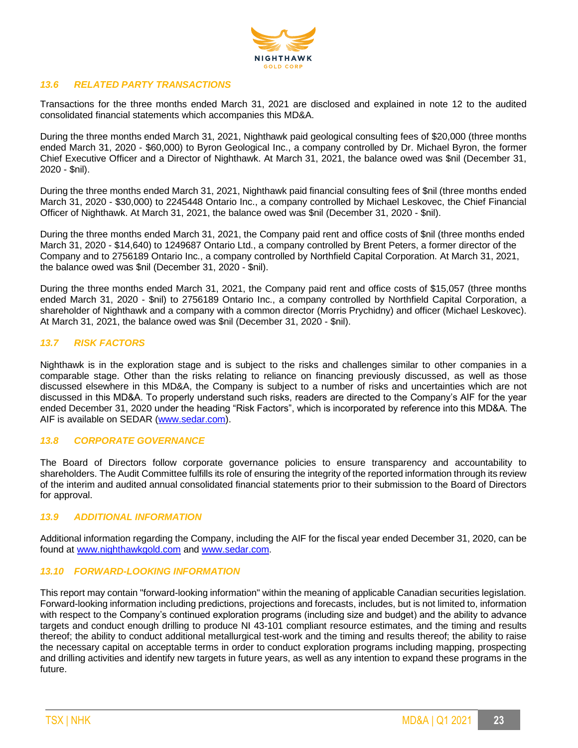

## *13.6 RELATED PARTY TRANSACTIONS*

Transactions for the three months ended March 31, 2021 are disclosed and explained in note 12 to the audited consolidated financial statements which accompanies this MD&A.

During the three months ended March 31, 2021, Nighthawk paid geological consulting fees of \$20,000 (three months ended March 31, 2020 - \$60,000) to Byron Geological Inc., a company controlled by Dr. Michael Byron, the former Chief Executive Officer and a Director of Nighthawk. At March 31, 2021, the balance owed was \$nil (December 31, 2020 - \$nil).

During the three months ended March 31, 2021, Nighthawk paid financial consulting fees of \$nil (three months ended March 31, 2020 - \$30,000) to 2245448 Ontario Inc., a company controlled by Michael Leskovec, the Chief Financial Officer of Nighthawk. At March 31, 2021, the balance owed was \$nil (December 31, 2020 - \$nil).

During the three months ended March 31, 2021, the Company paid rent and office costs of \$nil (three months ended March 31, 2020 - \$14,640) to 1249687 Ontario Ltd., a company controlled by Brent Peters, a former director of the Company and to 2756189 Ontario Inc., a company controlled by Northfield Capital Corporation. At March 31, 2021, the balance owed was \$nil (December 31, 2020 - \$nil).

During the three months ended March 31, 2021, the Company paid rent and office costs of \$15,057 (three months ended March 31, 2020 - \$nil) to 2756189 Ontario Inc., a company controlled by Northfield Capital Corporation, a shareholder of Nighthawk and a company with a common director (Morris Prychidny) and officer (Michael Leskovec). At March 31, 2021, the balance owed was \$nil (December 31, 2020 - \$nil).

# *13.7 RISK FACTORS*

Nighthawk is in the exploration stage and is subject to the risks and challenges similar to other companies in a comparable stage. Other than the risks relating to reliance on financing previously discussed, as well as those discussed elsewhere in this MD&A, the Company is subject to a number of risks and uncertainties which are not discussed in this MD&A. To properly understand such risks, readers are directed to the Company's AIF for the year ended December 31, 2020 under the heading "Risk Factors", which is incorporated by reference into this MD&A. The AIF is available on SEDAR [\(www.sedar.com\)](http://www.sedar.com/).

#### *13.8 CORPORATE GOVERNANCE*

The Board of Directors follow corporate governance policies to ensure transparency and accountability to shareholders. The Audit Committee fulfills its role of ensuring the integrity of the reported information through its review of the interim and audited annual consolidated financial statements prior to their submission to the Board of Directors for approval.

#### *13.9 ADDITIONAL INFORMATION*

Additional information regarding the Company, including the AIF for the fiscal year ended December 31, 2020, can be found at [www.nighthawkgold.com](http://www.nighthawkgold.com/) and [www.sedar.com.](http://www.sedar.com/)

#### *13.10 FORWARD-LOOKING INFORMATION*

This report may contain "forward-looking information" within the meaning of applicable Canadian securities legislation. Forward-looking information including predictions, projections and forecasts, includes, but is not limited to, information with respect to the Company's continued exploration programs (including size and budget) and the ability to advance targets and conduct enough drilling to produce NI 43-101 compliant resource estimates, and the timing and results thereof; the ability to conduct additional metallurgical test-work and the timing and results thereof; the ability to raise the necessary capital on acceptable terms in order to conduct exploration programs including mapping, prospecting and drilling activities and identify new targets in future years, as well as any intention to expand these programs in the future.